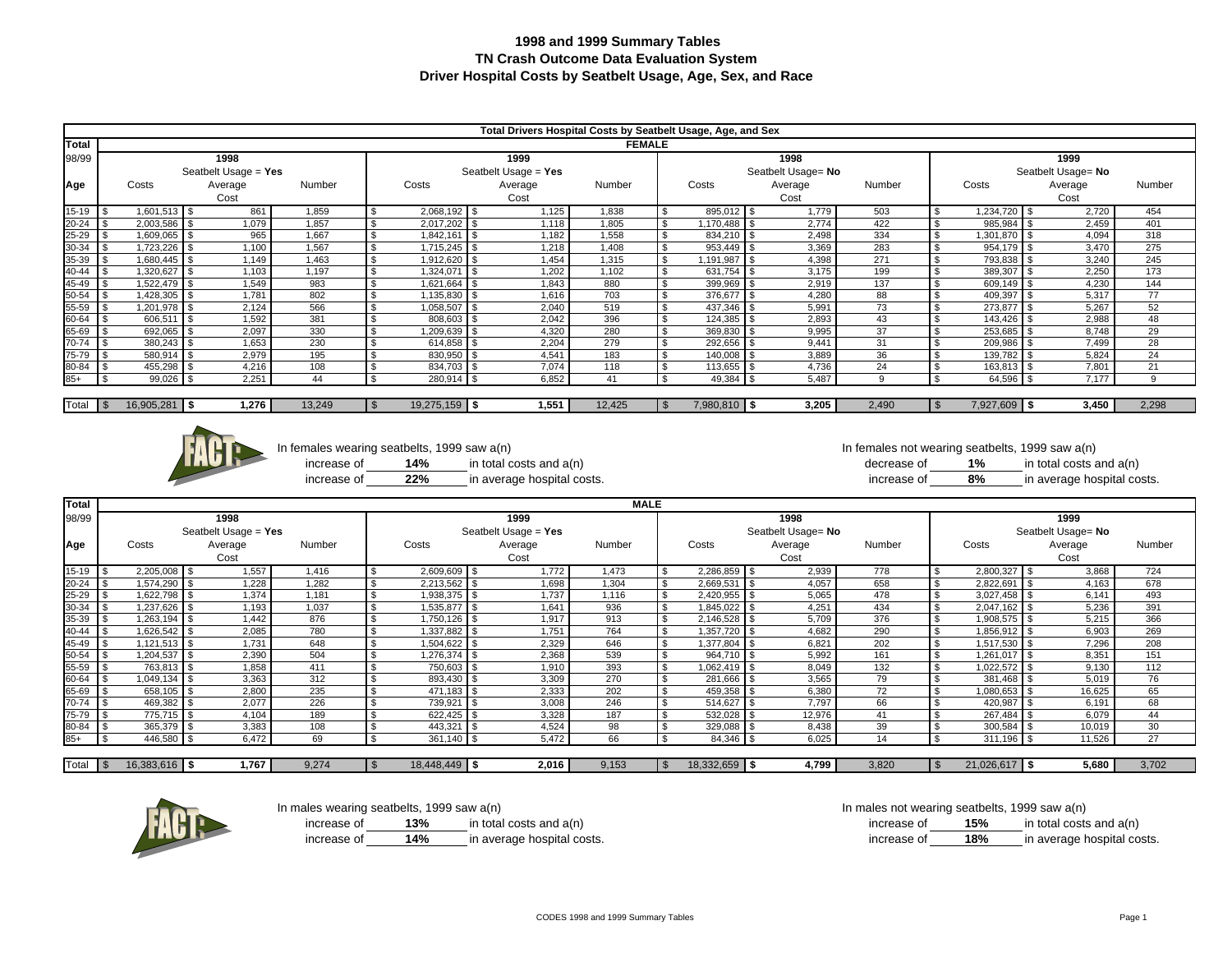|              |                     |                       |                         |                                                                           |          |                       | Total Drivers Hospital Costs by Seatbelt Usage, Age, and Sex |               |                |                          |                         |                                                                               |                |                       |                                                       |          |
|--------------|---------------------|-----------------------|-------------------------|---------------------------------------------------------------------------|----------|-----------------------|--------------------------------------------------------------|---------------|----------------|--------------------------|-------------------------|-------------------------------------------------------------------------------|----------------|-----------------------|-------------------------------------------------------|----------|
| Total        |                     |                       |                         |                                                                           |          |                       |                                                              | <b>FEMALE</b> |                |                          |                         |                                                                               |                |                       |                                                       |          |
| 98/99        |                     |                       | 1998                    |                                                                           |          |                       | 1999                                                         |               |                |                          | 1998                    |                                                                               |                |                       | 1999                                                  |          |
|              |                     |                       | Seatbelt Usage = Yes    |                                                                           |          |                       | Seatbelt Usage = Yes                                         |               |                |                          | Seatbelt Usage= No      |                                                                               |                |                       | Seatbelt Usage= No                                    |          |
| Age          |                     | Costs                 | Average                 | Number                                                                    |          | Costs                 | Average                                                      | Number        |                | Costs                    | Average                 | Number                                                                        |                | Costs                 | Average                                               | Number   |
|              |                     |                       | Cost                    |                                                                           |          |                       | Cost                                                         |               |                |                          | Cost                    |                                                                               |                |                       | Cost                                                  |          |
| 15-19        |                     | 1,601,513             | 861<br>l \$             | 1,859                                                                     | \$       | 2,068,192 \$          | 1,125                                                        | 1,838         | \$             | 895,012 \$               | 1,779                   | 503                                                                           | -\$            | 1,234,720             | 2,720                                                 | 454      |
| 20-24        |                     | 2,003,586             | 1,079                   | 1,857                                                                     | \$       | 2,017,202             | 1,118                                                        | 1,805         |                | 1,170,488 \$             | 2,774                   | 422                                                                           |                | 985,984               | 2,459                                                 | 401      |
| 25-29        |                     | 1,609,065             | 965                     | 1,667                                                                     | \$       | 1,842,161             | $\overline{\phantom{a}}$<br>1,182                            | 1,558         |                | 834,210 \$               | 2,498                   | 334                                                                           |                | 1,301,870             | 4,094                                                 | 318      |
| 30-34        |                     | 1,723,226             | 1,100                   | 1,567                                                                     | \$       | 1,715,245             | 1,218                                                        | 1,408         |                | 953,449                  | 3,369<br>$\mathfrak{L}$ | 283                                                                           |                | 954,179               | 3,470                                                 | 275      |
| 35-39        |                     | 1,680,445             | 1,149                   | 1,463                                                                     | \$       | 1,912,620             | l \$<br>1,454                                                | 1,315         |                | 1,191,987                | 4,398<br>l \$           | 271                                                                           |                | 793,838               | 3,240                                                 | 245      |
| 40-44        |                     | 1,320,627             | 1,103                   | 1,197                                                                     | \$       | 1,324,071             | $\overline{\phantom{a}}$ 1 $\overline{\phantom{a}}$<br>1,202 | 1,102         | \$             | 631,754 \$               | 3,175                   | 199                                                                           |                | 389,307               | 2,250                                                 | 173      |
| $45 - 49$    |                     | 1,522,479             | 1,549                   | 983                                                                       | \$       | 1,621,664             | l \$<br>1,843                                                | 880           |                | 399,969                  | 2,919<br>l \$           | 137                                                                           |                | 609,149               | 4,230                                                 | 144      |
| $50 - 54$    |                     | 1,428,305             | 1,781                   | 802                                                                       | \$       | 1,135,830             | 1,616                                                        | 703           | \$             | 376,677 \$               | 4,280                   | 88                                                                            |                | 409,397               | 5,317                                                 | 77       |
| 55-59        |                     | 1,201,978             | 2,124                   | 566                                                                       | \$       | 1,058,507             | 2,040<br>l \$                                                | 519           | \$             | 437,346 \$               | 5,991                   | 73                                                                            | $\mathfrak{L}$ | 273,877               | 5,267                                                 | 52       |
| 60-64        | \$                  | 606,511               | 1,592                   | 381                                                                       | \$       | 808,603               | 2,042<br><b>S</b>                                            | 396           | \$             | 124,385 \$               | 2,893                   | 43                                                                            | \$             | 143,426               | 2,988                                                 | 48       |
| 65-69        | \$.                 | 692,065               | 2,097                   | 330                                                                       | \$       | 1,209,639             | 4,320<br>l \$                                                | 280           |                | 369,830                  | 9,995<br>- \$           | 37                                                                            |                | 253,685               | 8,748                                                 | 29       |
| 70-74        | \$.                 | 380,243               | 1,653<br>$\mathfrak{L}$ | 230                                                                       | \$       | 614,858               | 2,204                                                        | 279           | \$             | 292,656 \$               | 9,441                   | 31                                                                            |                | 209,986               | 7,499                                                 | 28       |
| 75-79        |                     | 580,914               | 2,979                   | 195                                                                       | \$       | 830,950               | 4,541<br>l \$                                                | 183           |                | 140,008                  | 3,889<br>l \$           | 36                                                                            |                | 139,782               | 5,824                                                 | 24       |
| 80-84        | £.                  | 455,298               | 4,216<br>$\mathfrak{L}$ | 108                                                                       | \$       | 834,703 \$            | 7,074                                                        | 118           | \$             | 113,655 \$               | 4,736                   | 24                                                                            | \$             | 163,813               | \$<br>7,801                                           | 21       |
| $85+$        | ፍ                   | 99,026                | 2,251<br>\$             | 44                                                                        | \$       | 280,914 \$            | 6,852                                                        | 41            |                | $49,384$ \$              | 5,487                   | 9                                                                             | $\mathfrak{L}$ | 64,596                | 7,177                                                 | 9        |
|              |                     |                       |                         |                                                                           |          |                       |                                                              |               |                |                          |                         |                                                                               |                |                       |                                                       |          |
| Total        |                     | $16,905,281$ \$       | 1,276                   | 13,249                                                                    | \$       | $19,275,159$ \$       | 1,551                                                        | 12,425        | - SS           | 7,980,810 \$             | 3,205                   | 2,490                                                                         | $\sqrt{3}$     | 7,927,609 \$          | 3,450                                                 | 2,298    |
|              |                     |                       |                         | In females wearing seatbelts, 1999 saw a(n)<br>increase of<br>increase of |          | 14%<br>22%            | in total costs and a(n)<br>in average hospital costs.        |               |                |                          |                         | In females not wearing seatbelts, 1999 saw a(n)<br>decrease of<br>increase of |                | 1%<br>8%              | in total costs and a(n)<br>in average hospital costs. |          |
| <b>Total</b> |                     |                       |                         |                                                                           |          |                       |                                                              | <b>MALE</b>   |                |                          |                         |                                                                               |                |                       |                                                       |          |
| 98/99        |                     |                       | 1998                    |                                                                           |          |                       | 1999                                                         |               |                |                          | 1998                    |                                                                               |                |                       | 1999                                                  |          |
|              |                     |                       | Seatbelt Usage = Yes    |                                                                           |          |                       | Seatbelt Usage = Yes                                         |               |                |                          | Seatbelt Usage= No      |                                                                               |                |                       | Seatbelt Usage= No                                    |          |
| Age          |                     | Costs                 | Average                 | Number                                                                    |          | Costs                 | Average                                                      | Number        |                | Costs                    | Average                 | Number                                                                        |                | Costs                 | Average                                               | Number   |
|              |                     |                       | Cost                    |                                                                           |          |                       | Cost                                                         |               |                |                          | Cost                    |                                                                               |                |                       | Cost                                                  |          |
| 15-19        |                     | $2,205,008$ \$        | 1,557                   | 1,416                                                                     | \$       | $2,609,609$ \$        | 1,772                                                        | 1,473         | \$             | 2,286,859 \$             | 2,939                   | 778                                                                           | \$             | $2,800,327$ \$        | 3,868                                                 | 724      |
| 20-24        |                     | 1,574,290             | 1,228<br>\$             | 1,282                                                                     | \$       | 2,213,562             | 1,698<br>l \$                                                | 1,304         | \$             | 2,669,531                | 4,057<br>\$             | 658                                                                           | \$             | 2,822,691             | 4,163                                                 | 678      |
| $25 - 29$    |                     | 1,622,798             | 1,374<br>- \$           | 1,181                                                                     | \$       | 1,938,375             | l \$<br>1,737                                                | 1,116         | \$             | $2,420,955$ \$           | 5,065                   | 478                                                                           | \$             | 3,027,458             | 6,141                                                 | 493      |
| 30-34        |                     | 1,237,626             | $\mathfrak{L}$<br>1,193 | 1,037                                                                     | \$       | 1,535,877             | 1,641<br>l s                                                 | 936           |                | 1,845,022 \$             | 4,251                   | 434                                                                           | $\mathfrak{L}$ | 2,047,162             | 5,236                                                 | 391      |
| $35 - 39$    |                     | 1,263,194             | \$<br>1,442             | 876                                                                       | \$       | 1,750,126             | l \$<br>1,917                                                | 913           |                | $2,146,528$ \$           | 5,709                   | 376                                                                           | \$             | 1,908,575             | 5,215                                                 | 366      |
| 40-44        |                     | 1,626,542             | 2,085                   | 780                                                                       | \$       | 1,337,882             | 1,751                                                        | 764           |                | 1,357,720                | 4,682<br>l \$           | 290                                                                           | $\mathfrak{L}$ | 1,856,912             | 6,903                                                 | 269      |
| $45 - 49$    |                     | 1,121,513             | 1,731                   | 648                                                                       | \$       | 1,504,622             | 2,329<br>l \$                                                | 646           |                | 1,377,804 \$             | 6,821                   | 202                                                                           | \$             | 1,517,530             | 7,296                                                 | 208      |
| 50-54        |                     | 1,204,537             | 2,390                   | 504                                                                       | \$       | 1,276,374             | 2,368                                                        | 539           |                | 964,710 \$               | 5,992                   | 161                                                                           | $\mathfrak{L}$ | 1,261,017             | 8,351                                                 | 151      |
| 55-59        |                     | 763,813               | 1,858                   | 411                                                                       | \$       | 750,603               | 1,910<br>l \$                                                | 393           |                | 1,062,419 \$             | 8,049                   | 132                                                                           |                | 1,022,572             | 9,130                                                 | 112      |
| 60-64        |                     | 1,049,134             | 3,363                   | 312                                                                       | \$       | 893,430               | 3,309                                                        | 270           |                | 281,666                  | 3,565                   | 79                                                                            |                | 381,468               | 5,019                                                 | 76       |
| 65-69        |                     | 658,105               | 2,800                   | 235                                                                       | \$       | 471,183               | l s<br>2,333                                                 | 202           |                | 459,358 \$               | 6,380                   | 72                                                                            |                | 1,080,653             | 16,625                                                | 65       |
| 70-74        |                     | 469,382               | 2,077                   | 226                                                                       | \$       | 739,921               | 3,008                                                        | 246           |                | 514,627                  | 7,797                   | 66                                                                            |                | 420,987               | 6,191                                                 | 68       |
| 75-79        | \$.<br>$\mathbf{s}$ | 775,715<br>365,379 \$ | 4,104<br>3,383          | 189<br>108                                                                | \$<br>\$ | 622,425<br>443,321 \$ | 3,328<br>l \$<br>4,524                                       | 187<br>98     | $\mathfrak{L}$ | 532,028 \$<br>329,088 \$ | 12,976<br>8,438         | 41<br>39                                                                      | $\mathfrak{L}$ | 267,484<br>300,584 \$ | 6,079<br>10,019                                       | 44<br>30 |
| $80 - 84$    |                     |                       |                         |                                                                           |          |                       |                                                              |               |                |                          |                         |                                                                               |                |                       |                                                       |          |

| 0-84ز | -ს5,379   \$ | 3,383  | 108   | 443,321   \$ | <i><b>E</b></i><br>4.524 |       |  | 329,088    | 8.438 | ບອ    | $300,584$ $\mid$          | 10,019          |       |  |
|-------|--------------|--------|-------|--------------|--------------------------|-------|--|------------|-------|-------|---------------------------|-----------------|-------|--|
|       | 146,580 \    | i.472  |       | 361,140 \$   | 5,472                    |       |  | 84,346     | 3,025 |       | 311106<br><b>JII, 150</b> | 44.520<br>1,5∠0 |       |  |
|       |              |        |       |              |                          |       |  |            |       |       |                           |                 |       |  |
| Total | 16.383.616   | 767, ا | 9.274 | 8.448.449    | 2,016                    | 9,153 |  | 18.332.659 | 4,799 | 3,820 | 21.026.617                | 5.680           | 3,702 |  |
|       |              |        |       |              |                          |       |  |            |       |       |                           |                 |       |  |



In males wearing seatbelts, 1999 saw a(n) **In males wearing seatbelts**, 1999 saw a(n) in total costs and a(n) increase of **15%** in total costs and a(n) in average hospital costs. **increase of the set of the average of the average hospital costs.** in average hospital costs.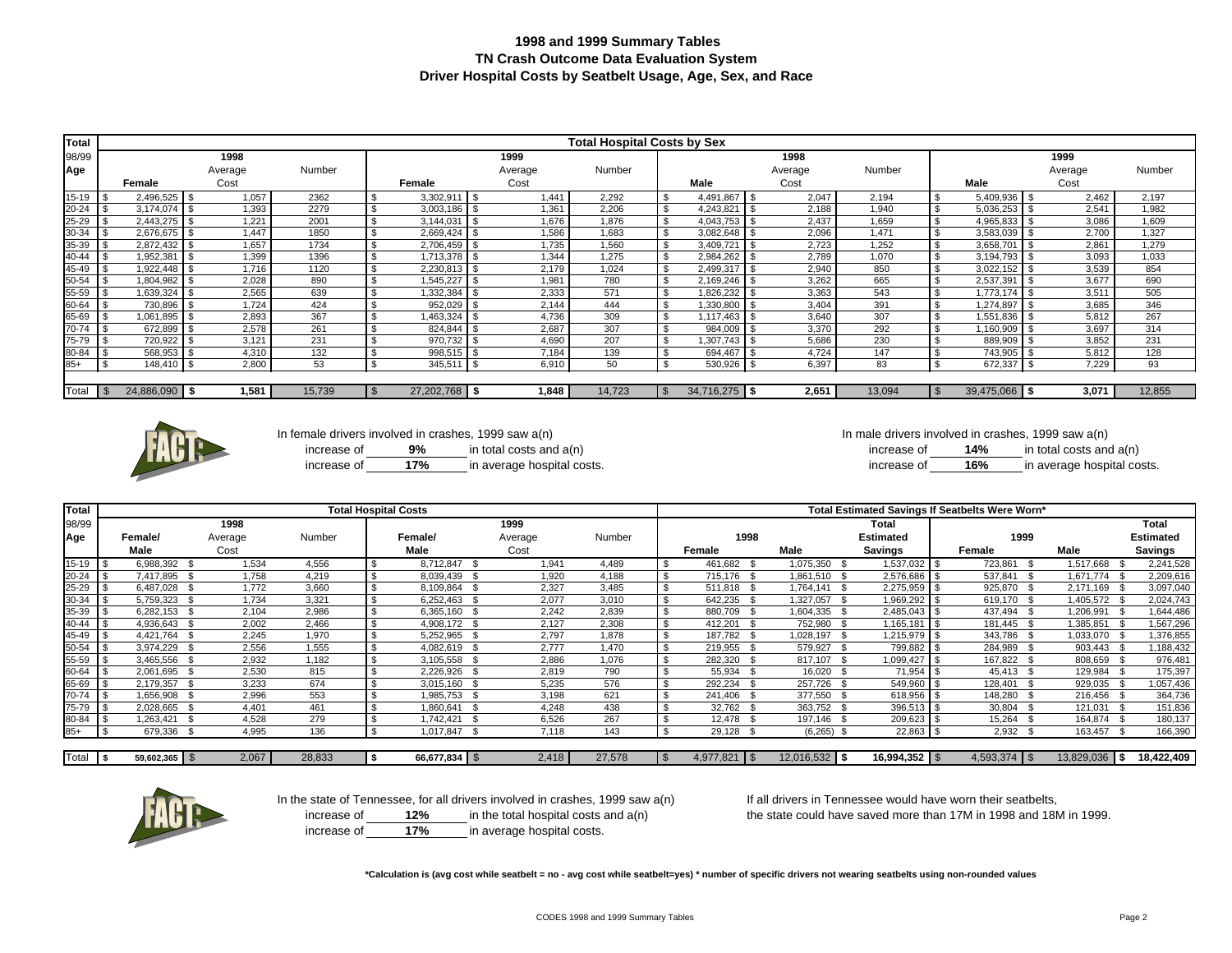| Total   |                      |         |        |      |               |              | <b>Total Hospital Costs by Sex</b> |     |                |         |        |          |               |         |        |
|---------|----------------------|---------|--------|------|---------------|--------------|------------------------------------|-----|----------------|---------|--------|----------|---------------|---------|--------|
| 98/99   |                      | 1998    |        |      |               | 1999         |                                    |     |                | 1998    |        |          |               | 1999    |        |
| Age     |                      | Average | Number |      |               | Average      | Number                             |     |                | Average | Number |          |               | Average | Number |
|         | Female               | Cost    |        |      | Female        | Cost         |                                    |     | Male           | Cost    |        |          | Male          | Cost    |        |
| $15-19$ | 2,496,525 \$         | 1.057   | 2362   |      | 3,302,911     | 1.441<br>l S | 2,292                              |     | 4,491,867 \$   | 2.047   | 2,194  |          | 5,409,936 \$  | 2.462   | 2,197  |
| 20-24   | 3,174,074            | 1.393   | 2279   |      | 3,003,186     | 1,361        | 2,206                              |     | 4,243,821 \$   | 2,188   | 1,940  |          | 5,036,253     | 2,541   | 1,982  |
| 25-29   | 2,443,275            | 1.221   | 2001   |      | 3,144,031     | 1,676        | 1.876                              |     | 4,043,753      | 2.437   | 1,659  |          | 4,965,833     | 3,086   | 1,609  |
| 30-34   | 2,676,675 \$         | 1.447   | 1850   |      | 2,669,424     | 1,586        | 1,683                              |     | 3,082,648 \$   | 2,096   | 1.471  |          | 3,583,039     | 2,700   | 1,327  |
| 35-39   | 2,872,432 \$         | 1.657   | 1734   |      | 2,706,459     | 1,735        | 1,560                              |     | 3,409,721 \$   | 2,723   | 1,252  |          | 3,658,701     | 2,861   | 1,279  |
| 40-44   | 1,952,381            | 1,399   | 1396   |      | 1,713,378     | 1,344        | 1.275                              |     | 2,984,262      | 2,789   | 1,070  | £.       | 3,194,793     | 3,093   | 1,033  |
| 45-49   | 1,922,448            | 1,716   | 1120   |      | 2,230,813     | 2,179        | 1,024                              |     | 2,499,317 \$   | 2,940   | 850    |          | 3,022,152     | 3,539   | 854    |
| 50-54   | 1,804,982            | 2.028   | 890    |      | 1,545,227     | 1,981        | 780                                |     | 2,169,246 \$   | 3,262   | 665    |          | 2,537,391     | 3,677   | 690    |
| 55-59   | 1,639,324            | 2,565   | 639    |      | 1,332,384     | 2,333        | 571                                |     | 1,826,232      | 3,363   | 543    |          | 1,773,174     | 3,511   | 505    |
| 60-64   | 730,896              | 1.724   | 424    |      | 952,029       | 2,144        | 444                                |     | 1.330.800 \$   | 3,404   | 391    |          | 1.274.897     | 3,685   | 346    |
| 65-69   | 1,061,895            | 2,893   | 367    |      | ,463,324      | 4,736        | 309                                |     | 1,117,463 \$   | 3,640   | 307    |          | 1,551,836     | 5,812   | 267    |
| 70-74   | 672,899              | 2,578   | 261    |      | 824,844       | 2,687        | 307                                |     | 984,009 \$     | 3,370   | 292    |          | ,160,909      | 3,697   | 314    |
| 75-79   | 720,922              | 3,121   | 231    |      | 970,732       | 4,690        | 207                                |     | 1,307,743 \$   | 5,686   | 230    |          | 889,909       | 3,852   | 231    |
| 80-84   | 568,953              | 4,310   | 132    |      | 998,515       | 7,184        | 139                                |     | 694,467        | 4,724   | 147    |          | 743,905       | 5,812   | 128    |
| $85+$   | 148,410 \$           | 2,800   | 53     |      | 345,511       | 6,910<br>l S | 50                                 |     | 530,926 \$     | 6,397   | 83     |          | 672,337       | 7,229   | 93     |
|         |                      |         |        |      |               |              |                                    |     |                |         |        |          |               |         |        |
| Total   | 24.886.090 \$<br>l S | 1,581   | 15,739 | - \$ | 27,202,768 \$ | 1,848        | 14.723                             | - 9 | $34.716.275$ S | 2,651   | 13,094 | <b>S</b> | 39,475,066 \$ | 3,071   | 12,855 |



In female drivers involved in crashes, 1999 saw a(n) In male drivers involved in crashes, 1999 saw a(n) In male drivers involved in crashes, 1999 saw a(n) increase of **9%**increase of**17%**

in total costs and a(n) increase of **14%** in total costs and a(n)

in average hospital costs. **increase of the set of the average of the average hospital costs. increase of the set of the set of the set of the set of the set of the set of the set of the set of the set of the set of the** 

| <b>Total</b> |                                |               |        |     | <b>Total Hospital Costs</b> |         |        |          |                |      |                   |                  | Total Estimated Savings If Seatbelts Were Worn* |      |                 |      |                  |
|--------------|--------------------------------|---------------|--------|-----|-----------------------------|---------|--------|----------|----------------|------|-------------------|------------------|-------------------------------------------------|------|-----------------|------|------------------|
| 98/99        |                                | 1998          |        |     |                             | 1999    |        |          |                |      |                   | Total            |                                                 |      |                 |      | Total            |
| Age          | Female/                        | Average       | Number |     | Female/                     | Average | Number |          |                | 1998 |                   | <b>Estimated</b> |                                                 | 1999 |                 |      | <b>Estimated</b> |
|              | Male                           | Cost          |        |     | Male                        | Cost    |        |          | Female         |      | Male              | Savings          | Female                                          |      | Male            |      | <b>Savings</b>   |
| $15-19$      | 6,988,392                      | 1.534         | 4,556  |     | 8,712,847                   | 1,941   | 4,489  |          | 461,682        | - \$ | 1,075,350<br>- \$ | 1,537,032        | 723,861                                         |      | 1,517,668       |      | 2,241,528        |
| $20 - 24$    | 7,417,895 \$                   | 1,758         | 4,219  |     | 8,039,439<br>- 55           | 1,920   | 4,188  |          | 715,176 \$     |      | 1,861,510 \$      | 2,576,686        | 537,841 \$                                      |      | 1,671,774 \$    |      | 2,209,616        |
| 25-29        | 6,487,028                      | 1.772         | 3,660  |     | 8,109,864                   | 2,327   | 3,485  |          | 511,818 \$     |      | 1,764,141 \$      | 2,275,959        | 925,870 \$                                      |      | 2,171,169 \$    |      | 3,097,040        |
| 30-34        | 5,759,323 \$                   | 1.734         | 3.321  |     | 6,252,463<br>- \$           | 2.077   | 3,010  |          | 642,235 \$     |      | 1,327,057<br>- \$ | 969,292          | 619,170 \$                                      |      | 1,405,572 \$    |      | 2,024,743        |
| 35-39        | 6,282,153                      | 2,104         | 2,986  |     | 6,365,160                   | 2,242   | 2,839  |          | 880,709        | - \$ | 1,604,335 \$      | 2,485,043 \$     | 437,494 \$                                      |      | \$206,991       |      | 1,644,486        |
| 40-44        | 4,936,643 \$                   | 2.002         | 2,466  |     | 4,908,172<br>$\mathcal{L}$  | 2,127   | 2,308  |          | 412,201        |      | 752,980 \$        | 1,165,181        | 181,445 \$                                      |      | ,385,851        |      | .567,296         |
| 45-49        | 4,421,764 \$                   | 2,245         | 1,970  |     | 5,252,965<br>- \$           | 2.797   | 1,878  |          | 187,782 \$     |      | 1,028,197 \$      | 1,215,979 \$     | 343,786 \$                                      |      | 1,033,070 \$    |      | ,376,855         |
| 50-54        | 3,974,229 \$                   | 2,556         | 1,555  |     | 4,082,619 \$                | 2,777   | 1,470  |          | 219,955 \$     |      | 579,927 \$        | 799,882 \$       | 284,989 \$                                      |      | 903,443 \$      |      | 188,432          |
| 55-59        | 3,465,556 \$                   | 2,932         | 1,182  |     | 3,105,558<br>- \$           | 2,886   | 1,076  |          | 282,320 \$     |      | 817,107 \$        | 1,099,427        | 167,822 \$                                      |      | 808,659 \$      |      | 976,481          |
| 60-64        | 2,061,695 \$                   | 2.530         | 815    |     | 2,226,926                   | 2,819   | 790    |          | 55,934 \$      |      | 16,020 \$         | 71,954           | 45,413 \$                                       |      | 129,984 \$      |      | 175,397          |
| 65-69        | 2,179,357                      | 3,233<br>- \$ | 674    |     | 3,015,160<br>- 55           | 5,235   | 576    |          | 292,234 \$     |      | 257,726 \$        | 549,960          | 128,401                                         |      | 929,035         |      | ,057,436         |
| 70-74        | 1,656,908                      | 2.996         | 553    |     | 1,985,753                   | 3,198   | 621    |          | 241,406 \$     |      | 377,550 \$        | 618,956          | 148,280 \$                                      |      | 216,456 \$      |      | 364,736          |
| 75-79        | 2,028,665                      | - \$<br>4.401 | 461    |     | 1,860,641<br>- \$           | 4,248   | 438    |          | 32,762 \$      |      | 363,752 \$        | 396,513          | 30,804 \$                                       |      | 121,031         |      | 151,836          |
| 80-84        | 1,263,421                      | - \$<br>4.528 | 279    |     | 1,742,421<br>- 55           | 6,526   | 267    |          | 12,478 \$      |      | 197,146 \$        | 209,623          | 15,264 \$                                       |      | 164,874 \$      |      | 180,137          |
| $85+$        | 679,336                        | 4,995<br>- \$ | 136    |     | 1,017,847<br>- 35           | 7,118   | 143    |          | 29,128 \$      |      | $(6,265)$ \$      | $22,863$ \$      | $2,932$ \$                                      |      | 163,457         | - 36 | 166,390          |
|              |                                |               |        |     |                             |         |        |          |                |      |                   |                  |                                                 |      |                 |      |                  |
| Total        | $59,602,365$ $\sqrt{5}$<br>IS. | 2,067         | 28,833 | IS. | 66,677,834 \$               | 2,418   | 27,578 | <b>S</b> | $4,977,821$ \$ |      | 12,016,532 \$     | $16,994,352$ \$  | $4,593,374$ \$                                  |      | $13,829,036$ \$ |      | 18,422,409       |



In the state of Tennessee, for all drivers involved in crashes, 1999 saw a(n) If all drivers in Tennessee would have worn their seatbelts,<br>Increase of **12%** in the total hospital costs and a(n) the state could have saved m increase of **12%**increase of **17%**in average hospital costs.

the state could have saved more than 17M in 1998 and 18M in 1999.

**\*Calculation is (avg cost while seatbelt = no - avg cost while seatbelt=yes) \* number of specific drivers not wearing seatbelts using non-rounded values**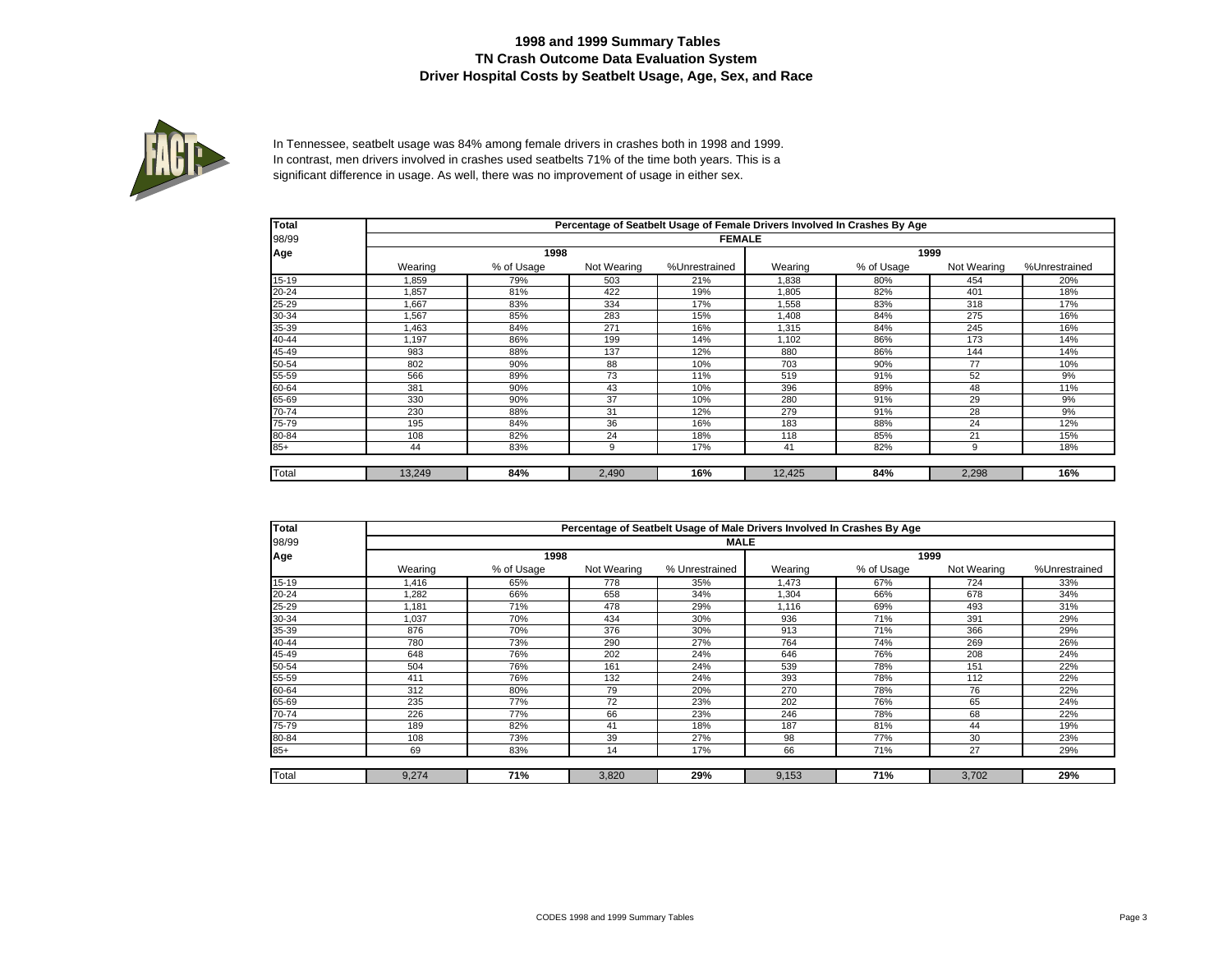

In Tennessee, seatbelt usage was 84% among female drivers in crashes both in 1998 and 1999. In contrast, men drivers involved in crashes used seatbelts 71% of the time both years. This is a significant difference in usage. As well, there was no improvement of usage in either sex.

| <b>Total</b> |         |            |             |               |         | Percentage of Seatbelt Usage of Female Drivers Involved In Crashes By Age |             |               |
|--------------|---------|------------|-------------|---------------|---------|---------------------------------------------------------------------------|-------------|---------------|
| 98/99        |         |            |             | <b>FEMALE</b> |         |                                                                           |             |               |
| Age          |         | 1998       |             |               |         |                                                                           | 1999        |               |
|              | Wearing | % of Usage | Not Wearing | %Unrestrained | Wearing | % of Usage                                                                | Not Wearing | %Unrestrained |
| 15-19        | 1,859   | 79%        | 503         | 21%           | 1,838   | 80%                                                                       | 454         | 20%           |
| 20-24        | 1.857   | 81%        | 422         | 19%           | 1.805   | 82%                                                                       | 401         | 18%           |
| 25-29        | 1,667   | 83%        | 334         | 17%           | 1.558   | 83%                                                                       | 318         | 17%           |
| 30-34        | 1.567   | 85%        | 283         | 15%           | 1.408   | 84%                                                                       | 275         | 16%           |
| 35-39        | 1,463   | 84%        | 271         | 16%           | 1,315   | 84%                                                                       | 245         | 16%           |
| 40-44        | 1,197   | 86%        | 199         | 14%           | 1,102   | 86%                                                                       | 173         | 14%           |
| 45-49        | 983     | 88%        | 137         | 12%           | 880     | 86%                                                                       | 144         | 14%           |
| 50-54        | 802     | 90%        | 88          | 10%           | 703     | 90%                                                                       | 77          | 10%           |
| 55-59        | 566     | 89%        | 73          | 11%           | 519     | 91%                                                                       | 52          | 9%            |
| 60-64        | 381     | 90%        | 43          | 10%           | 396     | 89%                                                                       | 48          | 11%           |
| 65-69        | 330     | 90%        | 37          | 10%           | 280     | 91%                                                                       | 29          | 9%            |
| 70-74        | 230     | 88%        | 31          | 12%           | 279     | 91%                                                                       | 28          | 9%            |
| 75-79        | 195     | 84%        | 36          | 16%           | 183     | 88%                                                                       | 24          | 12%           |
| 80-84        | 108     | 82%        | 24          | 18%           | 118     | 85%                                                                       | 21          | 15%           |
| $85+$        | 44      | 83%        | 9           | 17%           | 41      | 82%                                                                       | 9           | 18%           |
|              |         |            |             |               |         |                                                                           |             |               |
| Total        | 13,249  | 84%        | 2,490       | 16%           | 12,425  | 84%                                                                       | 2,298       | 16%           |

| <b>Total</b> |         |            |             | Percentage of Seatbelt Usage of Male Drivers Involved In Crashes By Age |         |            |             |               |
|--------------|---------|------------|-------------|-------------------------------------------------------------------------|---------|------------|-------------|---------------|
| 98/99        |         |            |             | <b>MALE</b>                                                             |         |            |             |               |
| Age          |         | 1998       |             |                                                                         |         |            | 1999        |               |
|              | Wearing | % of Usage | Not Wearing | % Unrestrained                                                          | Wearing | % of Usage | Not Wearing | %Unrestrained |
| 15-19        | 1,416   | 65%        | 778         | 35%                                                                     | 1,473   | 67%        | 724         | 33%           |
| 20-24        | ,282    | 66%        | 658         | 34%                                                                     | 304     | 66%        | 678         | 34%           |
| 25-29        | 1,181   | 71%        | 478         | 29%                                                                     | 1,116   | 69%        | 493         | 31%           |
| 30-34        | 1,037   | 70%        | 434         | 30%                                                                     | 936     | 71%        | 391         | 29%           |
| 35-39        | 876     | 70%        | 376         | 30%                                                                     | 913     | 71%        | 366         | 29%           |
| 40-44        | 780     | 73%        | 290         | 27%                                                                     | 764     | 74%        | 269         | 26%           |
| 45-49        | 648     | 76%        | 202         | 24%                                                                     | 646     | 76%        | 208         | 24%           |
| 50-54        | 504     | 76%        | 161         | 24%                                                                     | 539     | 78%        | 151         | 22%           |
| 55-59        | 411     | 76%        | 132         | 24%                                                                     | 393     | 78%        | 112         | 22%           |
| 60-64        | 312     | 80%        | 79          | 20%                                                                     | 270     | 78%        | 76          | 22%           |
| 65-69        | 235     | 77%        | 72          | 23%                                                                     | 202     | 76%        | 65          | 24%           |
| 70-74        | 226     | 77%        | 66          | 23%                                                                     | 246     | 78%        | 68          | 22%           |
| 75-79        | 189     | 82%        | 41          | 18%                                                                     | 187     | 81%        | 44          | 19%           |
| 80-84        | 108     | 73%        | 39          | 27%                                                                     | 98      | 77%        | 30          | 23%           |
| $85+$        | 69      | 83%        | 14          | 17%                                                                     | 66      | 71%        | 27          | 29%           |
|              |         |            |             |                                                                         |         |            |             |               |
| Total        | 9,274   | 71%        | 3,820       | 29%                                                                     | 9,153   | 71%        | 3,702       | 29%           |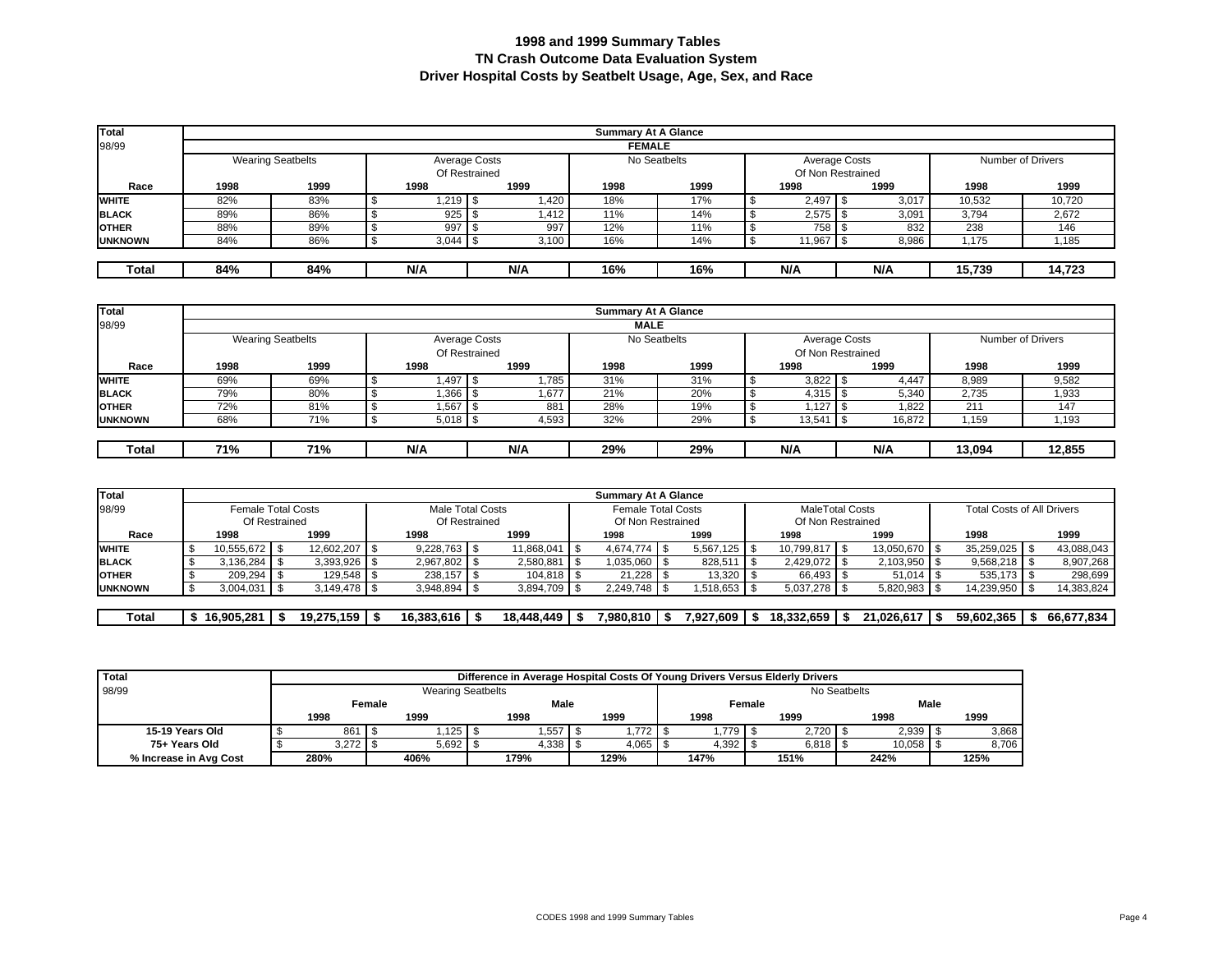| Total          |      |                          |      |       |               |               | <b>Summary At A Glance</b> |            |                   |        |                   |
|----------------|------|--------------------------|------|-------|---------------|---------------|----------------------------|------------|-------------------|--------|-------------------|
| 98/99          |      |                          |      |       |               | <b>FEMALE</b> |                            |            |                   |        |                   |
|                |      | <b>Wearing Seatbelts</b> |      |       | Average Costs |               | No Seatbelts               |            | Average Costs     |        | Number of Drivers |
|                |      |                          |      |       | Of Restrained |               |                            |            | Of Non Restrained |        |                   |
| Race           | 1998 | 1999                     | 1998 |       | 1999          | 1998          | 1999                       | 1998       | 1999              | 1998   | 1999              |
| <b>WHITE</b>   | 82%  | 83%                      |      | .219  | 1.420         | 18%           | 17%                        | 2,497      | 3,017             | 10.532 | 10,720            |
| <b>BLACK</b>   | 89%  | 86%                      |      | 925   | 1,412         | 11%           | 14%                        | $2,575$ \$ | 3,091             | 3,794  | 2,672             |
| <b>OTHER</b>   | 88%  | 89%                      |      | 997   | 997           | 12%           | 11%                        | 758 \$     | 832               | 238    | 146               |
| <b>UNKNOWN</b> | 84%  | 86%                      |      | 3,044 | 3,100         | 16%           | 14%                        | 11,967     | 8,986             | 1,175  | 1,185             |
|                |      |                          |      |       |               |               |                            |            |                   |        |                   |
| <b>Total</b>   | 84%  | 84%                      | N/A  |       | N/A           | 16%           | 16%                        | N/A        | N/A               | 15.739 | 14,723            |

| Total          |      |                          |            |               | <b>Summary At A Glance</b> |              |             |                   |        |                   |
|----------------|------|--------------------------|------------|---------------|----------------------------|--------------|-------------|-------------------|--------|-------------------|
| 98/99          |      |                          |            |               | <b>MALE</b>                |              |             |                   |        |                   |
|                |      | <b>Wearing Seatbelts</b> |            | Average Costs |                            | No Seatbelts |             | Average Costs     |        | Number of Drivers |
|                |      |                          |            | Of Restrained |                            |              |             | Of Non Restrained |        |                   |
| Race           | 1998 | 1999                     | 1998       | 1999          | 1998                       | 1999         | 1998        | 1999              | 1998   | 1999              |
| <b>WHITE</b>   | 69%  | 69%                      | .497       | 785،          | 31%                        | 31%          | $3,822$ \$  | 4.447             | 8,989  | 9,582             |
| <b>BLACK</b>   | 79%  | 80%                      | $1,366$ \$ | 1.677         | 21%                        | 20%          | $4,315$ \\$ | 5,340             | 2,735  | 1,933             |
| <b>OTHER</b>   | 72%  | 81%                      | .567       | 881           | 28%                        | 19%          | .127        | 1.822             | 211    | 147               |
| <b>UNKNOWN</b> | 68%  | 71%                      | $5,018$ \$ | 4,593         | 32%                        | 29%          | 13,541      | 16,872            | 1,159  | 1,193             |
|                |      |                          |            |               |                            |              |             |                   |        |                   |
| Total          | 71%  | 71%                      | N/A        | N/A           | 29%                        | 29%          | N/A         | N/A               | 13,094 | 12,855            |

| Total          |                           |                |                  |              | <b>Summary At A Glance</b> |           |                        |                 |                                   |            |
|----------------|---------------------------|----------------|------------------|--------------|----------------------------|-----------|------------------------|-----------------|-----------------------------------|------------|
| 98/99          | <b>Female Total Costs</b> |                | Male Total Costs |              | <b>Female Total Costs</b>  |           | <b>MaleTotal Costs</b> |                 | <b>Total Costs of All Drivers</b> |            |
|                | Of Restrained             |                | Of Restrained    |              | Of Non Restrained          |           | Of Non Restrained      |                 |                                   |            |
| Race           | 1998                      | 1999           | 1998             | 1999         | 1998                       | 1999      | 1998                   | 1999            | 1998                              | 1999       |
| <b>WHITE</b>   | 10,555,672 \$             | 12,602,207 \$  | 9,228,763 \$     | 11,868,041   | 4,674,774 \$               | 5,567,125 | 10,799,817             | 13,050,670 \$   | 35,259,025 \$                     | 43,088,043 |
| <b>BLACK</b>   | 3,136,284                 | $3,393,926$ \$ | 2,967,802        | 2,580,881    | 1,035,060 \$               | 828,511   | 2,429,072              | 2,103,950 \$    | 9,568,218                         | 8,907,268  |
| <b>OTHER</b>   | 209,294 \$                | 129,548 \$     | 238,157          | $104,818$ \$ | 21,228                     | 13,320    | 66,493                 | $51,014$ \$     | 535,173 \$                        | 298,699    |
| <b>UNKNOWN</b> | 3,004,031                 | $3,149,478$ \$ | $3,948,894$ \$   | 3,894,709    | 2,249,748                  | 1,518,653 | 5,037,278 \$           | $5,820,983$ \$  | 14,239,950 \$                     | 14,383,824 |
|                |                           |                |                  |              |                            |           |                        |                 |                                   |            |
| <b>Total</b>   | 16.905.281                | 19.275.159     | 16,383,616       | 18.448.449   | 7,980,810                  | ,927,609  | 18.332.659             | $21,026,617$ \$ | 59.602.365                        | 66,677,834 |

| Total                  |       |        |                          | Difference in Average Hospital Costs Of Young Drivers Versus Elderly Drivers |       |       |        |              |        |       |
|------------------------|-------|--------|--------------------------|------------------------------------------------------------------------------|-------|-------|--------|--------------|--------|-------|
| 98/99                  |       |        | <b>Wearing Seatbelts</b> |                                                                              |       |       |        | No Seatbelts |        |       |
|                        |       | Female |                          | Male                                                                         |       |       | Female |              | Male   |       |
|                        | 1998  |        | 1999                     | 1998                                                                         | 1999  | 1998  |        | 1999         | 1998   | 1999  |
| 15-19 Years Old        | 861   |        | .125                     | ,557                                                                         | .772  | .779  |        |              | 2.939  | 3.868 |
| 75+ Years Old          | 3.272 |        | 5,692                    | 4,338                                                                        | 4.065 | 4,392 |        |              | 10,058 | 8,706 |
| % Increase in Avg Cost | 280%  |        | 406%                     | 179%                                                                         | 129%  | 147%  |        | 151%         | 242%   | 125%  |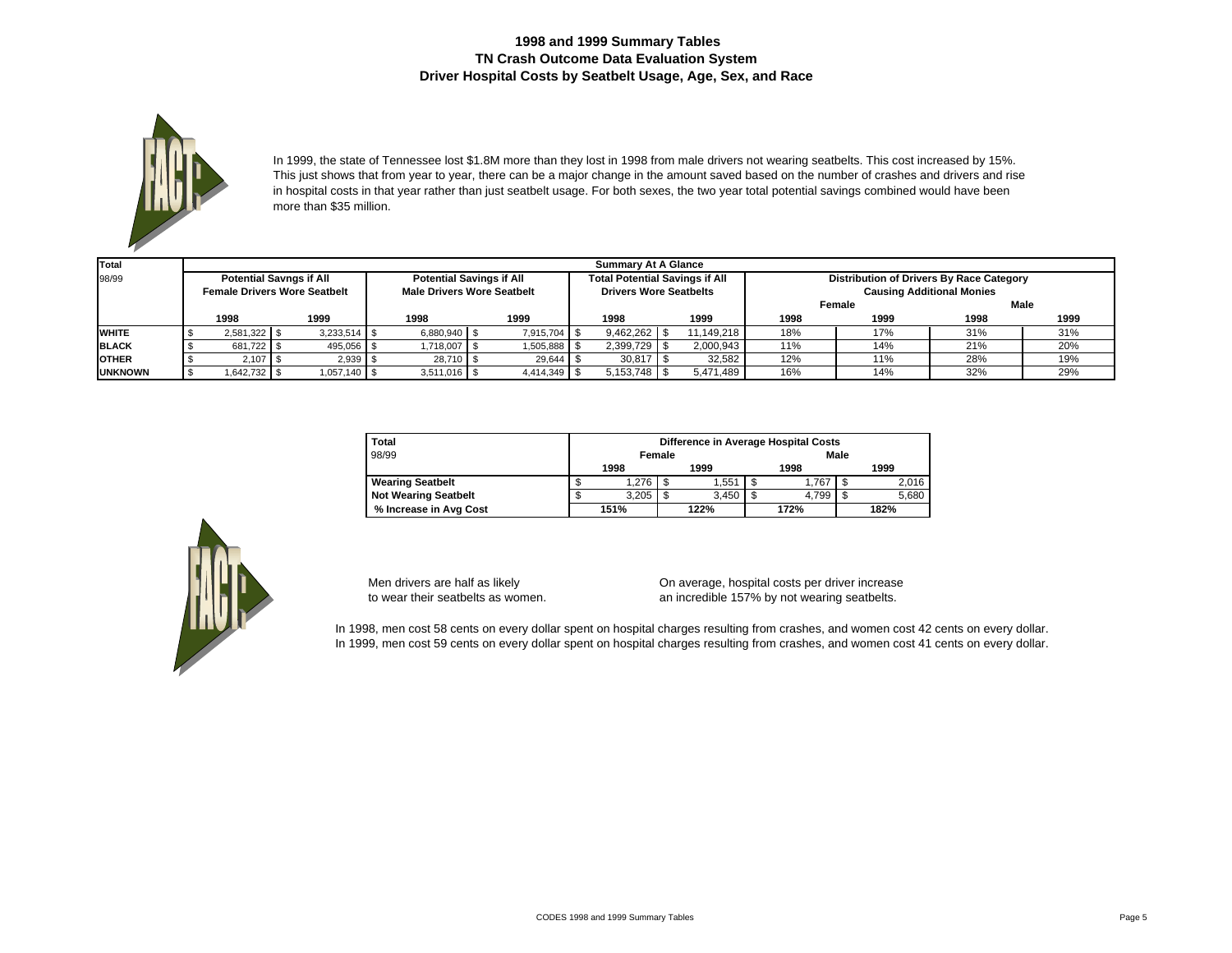

In 1999, the state of Tennessee lost \$1.8M more than they lost in 1998 from male drivers not wearing seatbelts. This cost increased by 15%. This just shows that from year to year, there can be a major change in the amount saved based on the number of crashes and drivers and rise in hospital costs in that year rather than just seatbelt usage. For both sexes, the two year total potential savings combined would have been more than \$35 million.

| Total          |              |                                     |                                   |                | <b>Summary At A Glance</b>            |            |      |        |                                          |      |
|----------------|--------------|-------------------------------------|-----------------------------------|----------------|---------------------------------------|------------|------|--------|------------------------------------------|------|
| 98/99          |              | <b>Potential Savngs if All</b>      | <b>Potential Savings if All</b>   |                | <b>Total Potential Savings if All</b> |            |      |        | Distribution of Drivers By Race Category |      |
|                |              | <b>Female Drivers Wore Seatbelt</b> | <b>Male Drivers Wore Seatbelt</b> |                | <b>Drivers Wore Seatbelts</b>         |            |      |        | <b>Causing Additional Monies</b>         |      |
|                |              |                                     |                                   |                |                                       |            |      | Female | Male                                     |      |
|                | 1998         | 1999                                | 1998                              | 1999           | 1998                                  | 1999       | 1998 | 1999   | 1998                                     | 1999 |
| <b>WHITE</b>   | 2,581,322 \$ | $3,233,514$ \$                      | 6,880,940 \$                      | 7,915,704 \$   | 9,462,262                             | 11.149.218 | 18%  | 17%    | 31%                                      | 31%  |
| <b>BLACK</b>   | 681,722 \$   | 495,056 \$                          | 1,718,007                         | 1,505,888 \$   | 2,399,729                             | 2,000,943  | 11%  | 14%    | 21%                                      | 20%  |
| <b>OTHER</b>   |              | $2,939$ \$                          | 28,710                            |                | 30,817                                | 32,582     | 12%  | 11%    | 28%                                      | 19%  |
| <b>UNKNOWN</b> | 1,642,732 \$ | 1,057,140 \$                        | $3,511,016$ \$                    | $4,414,349$ \$ | 5,153,748                             | 5.471.489  | 16%  | 14%    | 32%                                      | 29%  |

| <b>Total</b>                |    |        |       | Difference in Average Hospital Costs |      |       |
|-----------------------------|----|--------|-------|--------------------------------------|------|-------|
| 98/99                       |    | Female |       |                                      | Male |       |
|                             |    | 1998   | 1999  | 1998                                 |      | 1999  |
| <b>Wearing Seatbelt</b>     | J. | 1.276  | 1.551 | 1.767                                |      | 2.016 |
| <b>Not Wearing Seatbelt</b> | æ  | 3.205  | 3.450 | 4.799                                |      | 5.680 |
| % Increase in Avg Cost      |    | 151%   | 122%  | 172%                                 |      | 182%  |



Men drivers are half as likely On average, hospital costs per driver increase to wear their seatbelts as women.  $\qquad \qquad \qquad$  an incredible 157% by not wearing seatbelts.

In 1998, men cost 58 cents on every dollar spent on hospital charges resulting from crashes, and women cost 42 cents on every dollar. In 1999, men cost 59 cents on every dollar spent on hospital charges resulting from crashes, and women cost 41 cents on every dollar.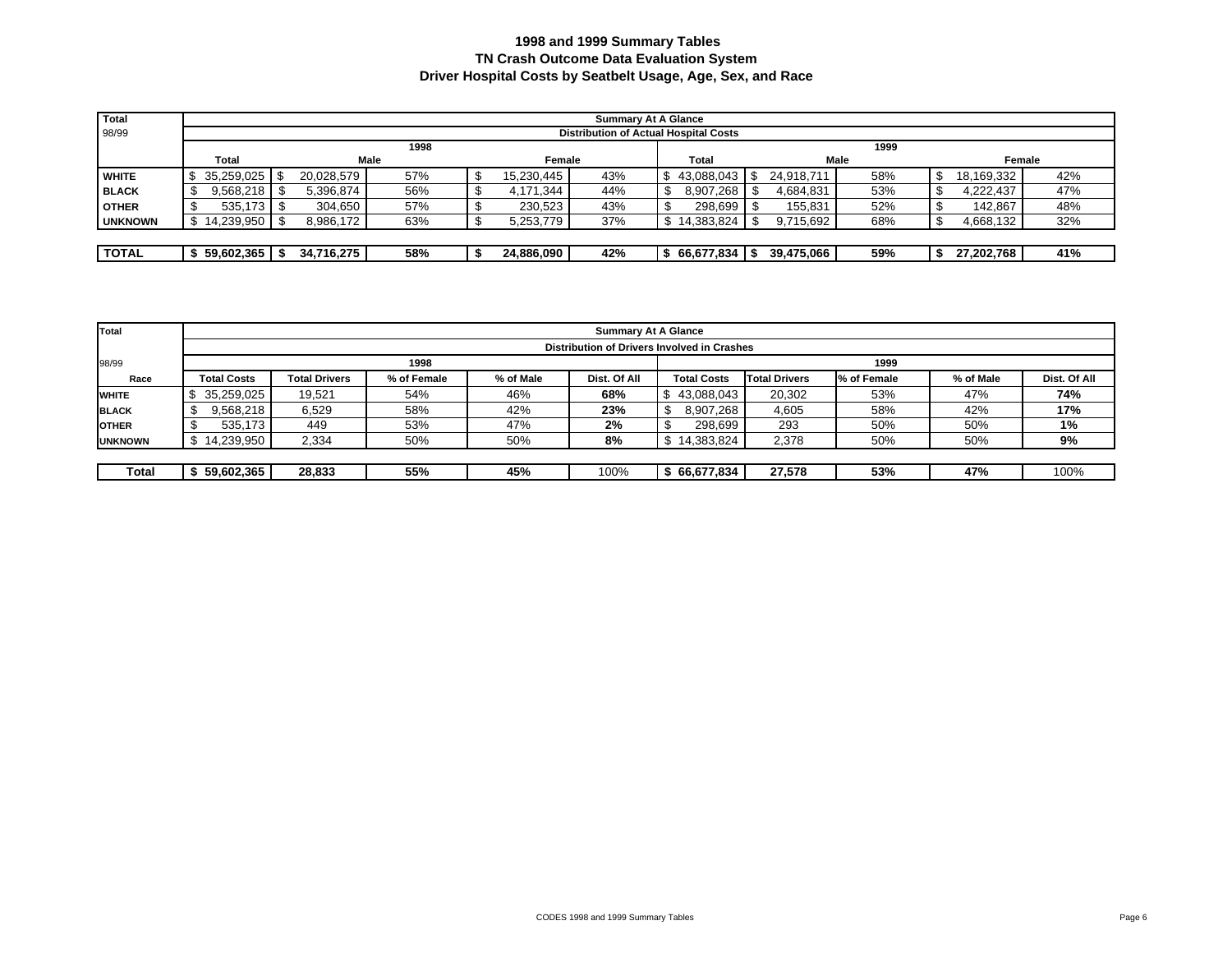| Total          |                 |            |      |      |            | <b>Summary At A Glance</b>                   |            |            |      |            |     |
|----------------|-----------------|------------|------|------|------------|----------------------------------------------|------------|------------|------|------------|-----|
| 98/99          |                 |            |      |      |            | <b>Distribution of Actual Hospital Costs</b> |            |            |      |            |     |
|                |                 |            | 1998 |      |            |                                              |            |            | 1999 |            |     |
|                | Total           |            | Male |      | Female     |                                              | Total      |            | Male | Female     |     |
| <b>WHITE</b>   | $35,259,025$ \$ | 20.028.579 | 57%  | £    | 15,230,445 | 43%                                          | 43,088,043 | 24.918.711 | 58%  | 18,169,332 | 42% |
| <b>BLACK</b>   | 9,568,218       | 5,396,874  | 56%  | AD.  | 4,171,344  | 44%                                          | 8,907,268  | 4,684,831  | 53%  | 4,222,437  | 47% |
| <b>OTHER</b>   | 535,173         | 304,650    | 57%  | - 10 | 230,523    | 43%                                          | 298,699    | 155,831    | 52%  | 142.867    | 48% |
| <b>UNKNOWN</b> | 14,239,950      | 8,986,172  | 63%  |      | 5,253,779  | 37%                                          | 14,383,824 | 9,715,692  | 68%  | 4,668,132  | 32% |
|                |                 |            |      |      |            |                                              |            |            |      |            |     |
| <b>TOTAL</b>   | 59.602.365      | 34.716.275 | 58%  |      | 24.886.090 | 42%                                          | 66,677,834 | 39.475.066 | 59%  | 27.202.768 | 41% |

| Total          |                    |                      |             |           | <b>Summary At A Glance</b>                  |                    |                      |             |           |              |
|----------------|--------------------|----------------------|-------------|-----------|---------------------------------------------|--------------------|----------------------|-------------|-----------|--------------|
|                |                    |                      |             |           | Distribution of Drivers Involved in Crashes |                    |                      |             |           |              |
| 98/99          |                    |                      | 1998        |           |                                             |                    |                      | 1999        |           |              |
| Race           | <b>Total Costs</b> | <b>Total Drivers</b> | % of Female | % of Male | Dist. Of All                                | <b>Total Costs</b> | <b>Total Drivers</b> | % of Female | % of Male | Dist. Of All |
| <b>WHITE</b>   | 35,259,025         | 19.521               | 54%         | 46%       | 68%                                         | 43,088,043         | 20,302               | 53%         | 47%       | 74%          |
| <b>BLACK</b>   | 9,568,218<br>\$    | 6,529                | 58%         | 42%       | 23%                                         | 8,907,268          | 4,605                | 58%         | 42%       | 17%          |
| <b>OTHER</b>   | 535.173<br>ึง      | 449                  | 53%         | 47%       | 2%                                          | 298,699            | 293                  | 50%         | 50%       | 1%           |
| <b>UNKNOWN</b> | \$14,239,950       | 2,334                | 50%         | 50%       | 8%                                          | \$14,383,824       | 2,378                | 50%         | 50%       | 9%           |
|                |                    |                      |             |           |                                             |                    |                      |             |           |              |
| Total          | 59,602,365         | 28,833               | 55%         | 45%       | 100%                                        | 66,677,834         | 27,578               | 53%         | 47%       | 100%         |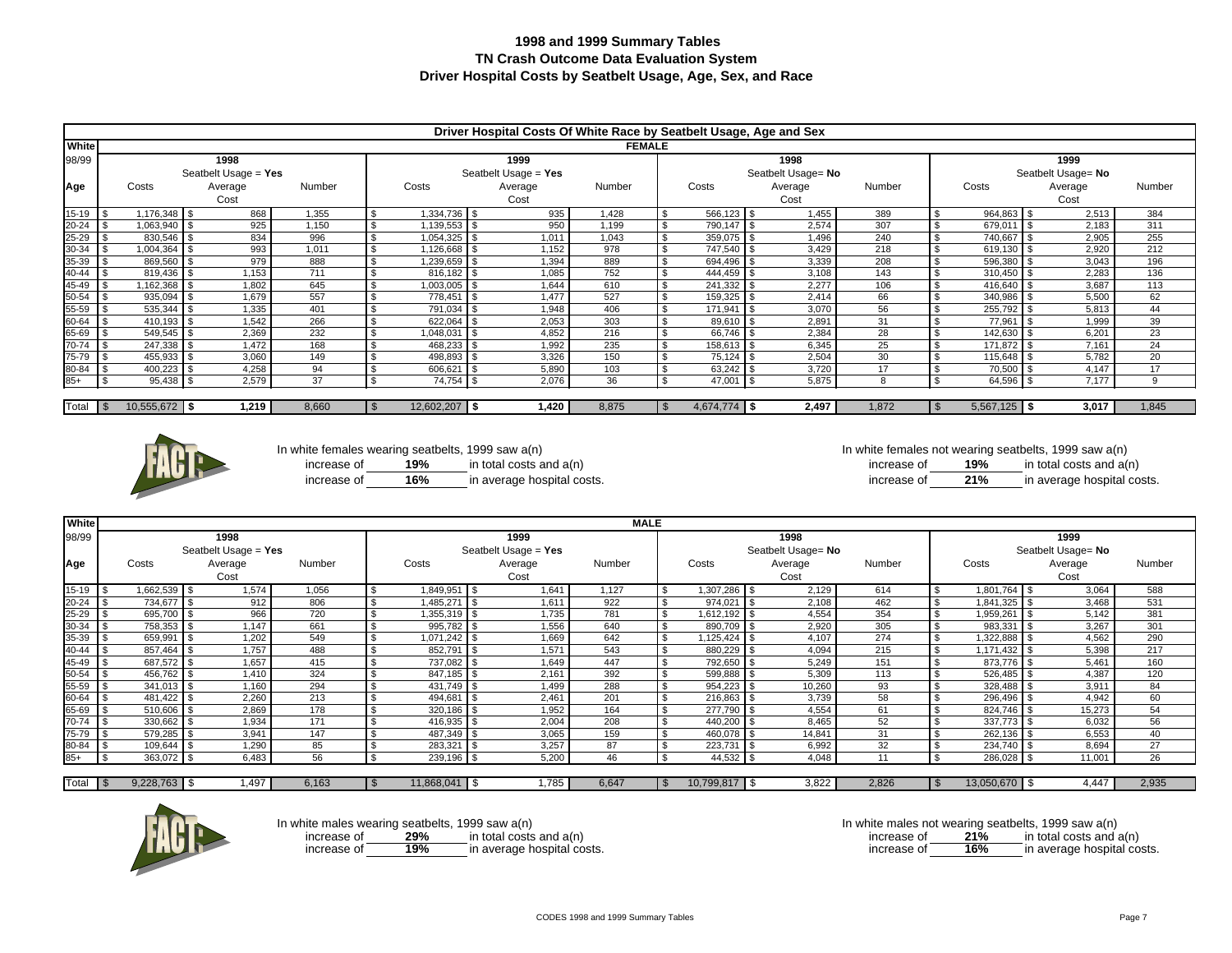|           |                    |                      |        |      |            | Driver Hospital Costs Of White Race by Seatbelt Usage, Age and Sex |               |                |                    |        |                |                    |        |
|-----------|--------------------|----------------------|--------|------|------------|--------------------------------------------------------------------|---------------|----------------|--------------------|--------|----------------|--------------------|--------|
| White     |                    |                      |        |      |            |                                                                    | <b>FEMALE</b> |                |                    |        |                |                    |        |
| 98/99     |                    | 1998                 |        |      |            | 1999                                                               |               |                | 1998               |        |                | 1999               |        |
|           |                    | Seatbelt Usage = Yes |        |      |            | Seatbelt Usage = Yes                                               |               |                | Seatbelt Usage= No |        |                | Seatbelt Usage= No |        |
| Age       | Costs              | Average              | Number |      | Costs      | Average                                                            | Number        | Costs          | Average            | Number | Costs          | Average            | Number |
|           |                    | Cost                 |        |      |            | Cost                                                               |               |                | Cost               |        |                | Cost               |        |
| $15 - 19$ | 1,176,348 \$       | 868                  | 1,355  |      | 1,334,736  | 935                                                                | 1,428         | 566,123        | 1,455              | 389    | 964,863        | 2,513              | 384    |
| $20 - 24$ | 1,063,940          | 925                  | 1.150  |      | 1,139,553  | 950                                                                | 1,199         | 790,147 \$     | 2,574              | 307    | 679,011        | 2,183              | 311    |
| 25-29     | 830,546 \$         | 834                  | 996    |      | 1,054,325  | 1.011                                                              | 1,043         | 359,075 \$     | 1,496              | 240    | 740,667        | 2,905              | 255    |
| $30 - 34$ | 1,004,364 \$       | 993                  | 1,011  |      | 1,126,668  | 1,152                                                              | 978           | 747,540        | 3,429              | 218    | 619,130        | 2,920              | 212    |
| 35-39     | 869,560 \$         | 979                  | 888    |      | 1,239,659  | 1,394                                                              | 889           | 694,496        | 3,339              | 208    | 596,380        | 3,043              | 196    |
| 40-44     | 819,436 \$         | 1,153                | 711    |      | 816,182    | 1,085                                                              | 752           | 444,459        | 3,108              | 143    | 310,450        | 2,283              | 136    |
| 45-49     | 1,162,368 \$       | 1,802                | 645    |      | 1,003,005  | 1,644                                                              | 610           | 241,332        | 2,277              | 106    | 416,640        | 3,687              | 113    |
| 50-54     | 935,094            | 1,679                | 557    |      | 778,451    | 1.477                                                              | 527           | 159,325        | 2.414              | 66     | 340,986        | 5,500              | 62     |
| 55-59     | 535,344 \$         | 1,335                | 401    |      | 791,034    | 1.948                                                              | 406           | 171,941        | 3,070              | 56     | 255,792        | 5,813              | 44     |
| 60-64     | 410,193 \$         | 1,542                | 266    |      | 622,064    | 2,053                                                              | 303           | 89,610 \$      | 2,891              | 31     | 77,961         | 1,999              | 39     |
| 65-69     | 549,545 \$         | 2,369                | 232    |      | 1,048,031  | 4,852                                                              | 216           | 66,746         | 2,384              | 28     | 142,630        | 6,201              | 23     |
| 70-74     | 247,338 \$         | 1,472                | 168    |      | 468,233    | 1,992                                                              | 235           | 158,613 \$     | 6,345              | 25     | 171,872        | 7,161              | 24     |
| 75-79     | 455,933 \$         | 3,060                | 149    |      | 498,893    | 3,326                                                              | 150           | 75,124         | 2,504              | 30     | 115,648        | 5,782              | 20     |
| 80-84     | 400,223            | 4,258                | 94     |      | 606,621    | 5,890                                                              | 103           | 63,242 \$      | 3,720              | 17     | 70,500         | 4,147              | 17     |
| $85+$     | 95,438 \$          | 2,579                | 37     | \$   | 74,754 \$  | 2,076                                                              | 36            | 47,001 \$      | 5,875              | 8      | 64,596 \$      | 7,177              | 9      |
|           |                    |                      |        |      |            |                                                                    |               |                |                    |        |                |                    |        |
| Total     | 10,555,672<br>l \$ | 1,219                | 8,660  | - \$ | 12,602,207 | 420, ا                                                             | 8,875         | $4,674,774$ \$ | 2,497              | 1.872  | $5,567,125$ \$ | 3,017              | 1.845  |



increase of **19%**increase of**16%**

In white females wearing seatbelts, 1999 saw a(n) In white females not wearing seatbelts, 1999 saw a(n) In white females not wearing seatbelts, 1999 saw a(n) in total costs and a(n) increase of **19%** in total costs and a(n) in average hospital costs. increase of **21%** in average hospital costs.

| <b>White</b> |                |                      |        |            |               |                      | <b>MALE</b> |                |                    |        |      |               |                    |        |
|--------------|----------------|----------------------|--------|------------|---------------|----------------------|-------------|----------------|--------------------|--------|------|---------------|--------------------|--------|
| 98/99        |                | 1998                 |        |            |               | 1999                 |             |                | 1998               |        |      |               | 1999               |        |
|              |                | Seatbelt Usage = Yes |        |            |               | Seatbelt Usage = Yes |             |                | Seatbelt Usage= No |        |      |               | Seatbelt Usage= No |        |
| Age          | Costs          | Average              | Number |            | Costs         | Average              | Number      | Costs          | Average            | Number |      | Costs         | Average            | Number |
|              |                | Cost                 |        |            |               | Cost                 |             |                | Cost               |        |      |               | Cost               |        |
| 15-19        | 1,662,539 \$   | 1,574                | 1,056  |            | 1,849,951     | 1,641                | 1,127       | 1,307,286 \$   | 2,129              | 614    |      | 801,764 \$    | 3,064              | 588    |
| 20-24        | 734,677 \$     | 912                  | 806    |            | 1,485,271     | 1,611                | 922         | 974,021 \$     | 2,108              | 462    |      | 1,841,325     | 3,468              | 531    |
| 25-29        | 695,700 \$     | 966                  | 720    |            | 1,355,319     | 1,735                | 781         | $1,612,192$ \$ | 4,554              | 354    |      | 1,959,261     | 5,142              | 381    |
| 30-34        | 758,353 \$     | 1.147                | 661    |            | 995,782 \$    | 1,556                | 640         | 890,709 \$     | 2,920              | 305    |      | 983,331       | 3,267              | 301    |
| 35-39        | 659,991 \$     | 1.202                | 549    |            | 1,071,242     | 1,669                | 642         | 1,125,424 \$   | 4,107              | 274    |      | ,322,888      | 4,562              | 290    |
| 40-44        | 857,464 \$     | 1,757                | 488    |            | 852,791       | 1,571                | 543         | 880,229 \$     | 4,094              | 215    |      | 1,171,432     | 5,398              | 217    |
| 45-49        | 687,572 \$     | 1,657                | 415    |            | 737,082 \$    | 1,649                | 447         | 792,650 \$     | 5,249              | 151    |      | 873,776 \$    | 5,461              | 160    |
| 50-54        | 456,762 \$     | 1,410                | 324    |            | 847,185 \$    | 2,161                | 392         | 599,888 \$     | 5,309              | 113    |      | 526,485       | 4,387              | 120    |
| 55-59        | 341,013 \$     | 1,160                | 294    |            | 431,749 \$    | 1,499                | 288         | 954,223 \$     | 10,260             | 93     |      | 328,488       | 3,911              | 84     |
| 60-64        | 481,422 \$     | 2,260                | 213    |            | 494,681       | 2,461<br>IS.         | 201         | 216,863 \$     | 3,739              | 58     |      | 296,496 \$    | 4,942              | 60     |
| 65-69        | 510,606 \$     | 2,869                | 178    |            | 320,186 \$    | 1,952                | 164         | 277,790 \$     | 4,554              | 61     |      | 824,746 \$    | 15,273             | 54     |
| 70-74        | 330,662 \$     | 1,934                | 171    |            | 416,935 \$    | 2,004                | 208         | 440,200 \$     | 8,465              | 52     |      | 337,773       | 6,032              | 56     |
| 75-79        | 579,285        | 3,941                | 147    |            | 487,349 \$    | 3,065                | 159         | 460,078 \$     | 14,841             | 31     |      | 262,136       | 6,553              | 40     |
| 80-84        | 109,644 \$     | 1,290                | 85     |            | 283,321       | 3,257                | 87          | 223,731 \$     | 6,992              | 32     |      | 234,740 \$    | 8,694              | 27     |
| $85+$        | 363,072 \$     | 6,483                | 56     |            | 239,196 \$    | 5,200                | 46          | 44,532 \$      | 4,048              | 11     |      | 286,028 \$    | 11,001             | 26     |
|              |                |                      |        |            |               |                      |             |                |                    |        |      |               |                    |        |
| Total \$     | $9,228,763$ \$ | 1.497                | 6,163  | $\sqrt{3}$ | 11,868,041 \$ | .785                 | 6,647       | 10,799,817 \$  | 3,822              | 2,826  | - \$ | 13,050,670 \$ | 4.447              | 2,935  |



In white males wearing seatbelts, 1999 saw a(n)<br>In white males not wearing seatbelts, 1999 saw a(n) increase of 21% in total costs and a(n) increase of 21% in total costs and a(n) increase of **29%**increase of **19%**in average hospital costs.

in total costs and a(n) increase of the costs and a(n) increase of the costs and a(n) in average hospital costs.<br>
in average hospital costs.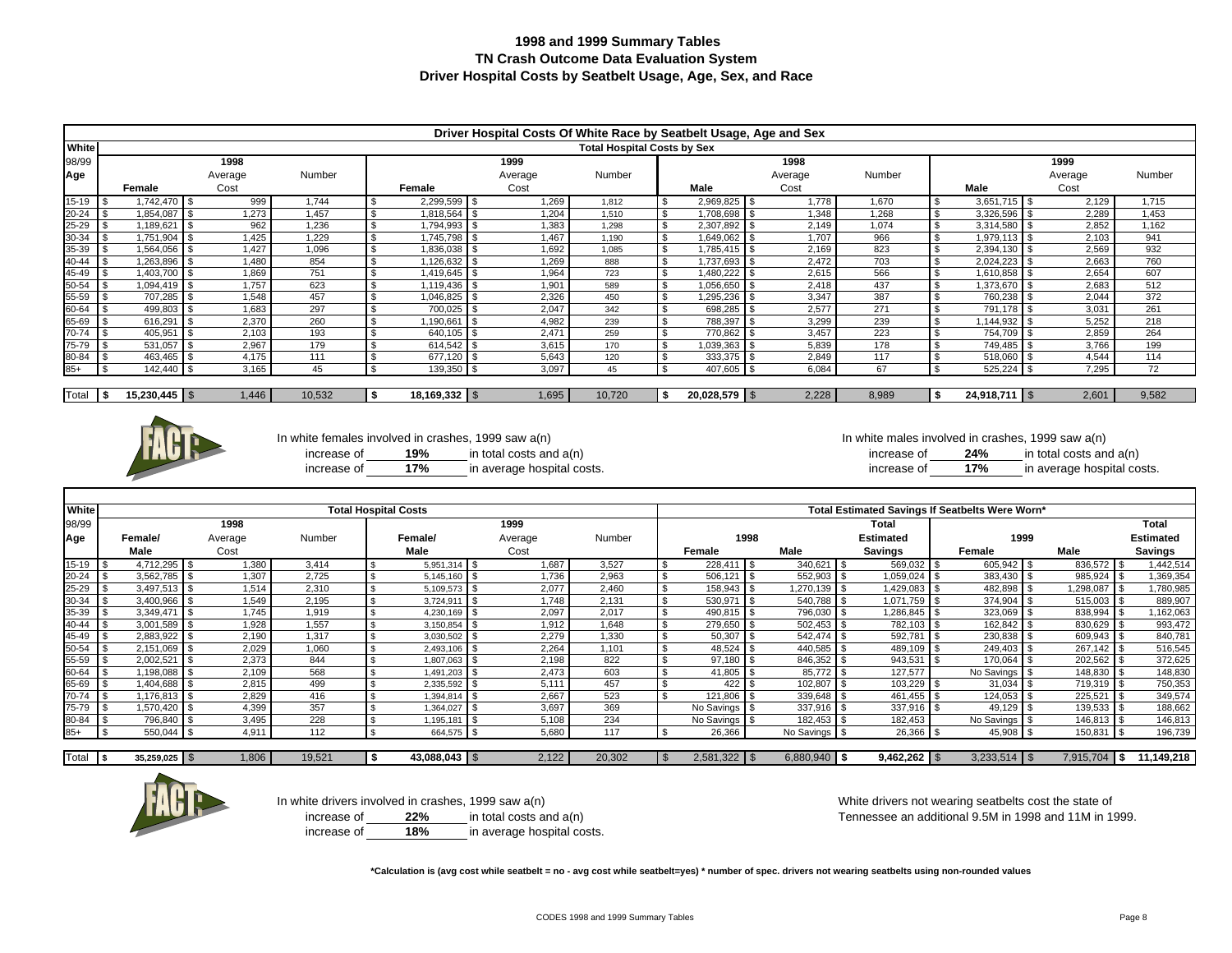|           |     |                |         |        |      |               | Driver Hospital Costs Of White Race by Seatbelt Usage, Age and Sex |                                    |     |                   |         |        |     |                 |         |        |
|-----------|-----|----------------|---------|--------|------|---------------|--------------------------------------------------------------------|------------------------------------|-----|-------------------|---------|--------|-----|-----------------|---------|--------|
| White     |     |                |         |        |      |               |                                                                    | <b>Total Hospital Costs by Sex</b> |     |                   |         |        |     |                 |         |        |
| 98/99     |     |                | 1998    |        |      |               | 1999                                                               |                                    |     |                   | 1998    |        |     |                 | 1999    |        |
| Age       |     |                | Average | Number |      |               | Average                                                            | Number                             |     |                   | Average | Number |     |                 | Average | Number |
|           |     | Female         | Cost    |        |      | Female        | Cost                                                               |                                    |     | Male              | Cost    |        |     | Male            | Cost    |        |
| $15-19$   |     | 1,742,470 \$   | 999     | 1,744  |      | 2,299,599     | 1,269                                                              | 1,812                              |     | 2,969,825 \$      | 1,778   | 1,670  |     | 3,651,715 \$    | 2,129   | 1,715  |
| 20-24     |     | 1,854,087 \$   | 1.273   | 1.457  |      | 1,818,564     | 1,204                                                              | 1,510                              |     | 1,708,698 \$      | 1,348   | 1,268  | -\$ | 3,326,596 \$    | 2,289   | 1,453  |
| 25-29     |     | 1,189,621 \$   | 962     | 1,236  |      | 1,794,993     | 1,383                                                              | 1,298                              |     | 2,307,892 \$      | 2,149   | 1,074  |     | 3,314,580       | 2,852   | 1,162  |
| 30-34     |     | $1,751,904$ \$ | 1,425   | 1,229  |      | 1,745,798     | 1,467                                                              | 1,190                              |     | 1,649,062 \$      | 1,707   | 966    |     | 1,979,113 \$    | 2,103   | 941    |
| $35 - 39$ |     | 1,564,056      | 1,427   | 1,096  |      | 1,836,038     | 1,692                                                              | 1,085                              |     | 1,785,415 \$      | 2,169   | 823    |     | 2,394,130 \$    | 2,569   | 932    |
| 40-44     |     | 1,263,896      | 1.480   | 854    |      | 1,126,632     | 1,269                                                              | 888                                |     | 1,737,693 \$      | 2,472   | 703    |     | 2,024,223       | 2,663   | 760    |
| 45-49     |     | 1,403,700 \$   | 1.869   | 751    |      | 1,419,645     | 1,964                                                              | 723                                |     | 1,480,222 \$      | 2,615   | 566    |     | 1,610,858       | 2,654   | 607    |
| 50-54     |     | 1,094,419 \$   | 1,757   | 623    |      | 1,119,436 \$  | 1,901                                                              | 589                                |     | 1,056,650 \$      | 2,418   | 437    |     | 1,373,670 \$    | 2,683   | 512    |
| 55-59     |     | 707,285        | 1,548   | 457    |      | 1,046,825     | 2,326                                                              | 450                                |     | 1,295,236 \$      | 3,347   | 387    |     | 760,238         | 2,044   | 372    |
| 60-64     |     | 499,803        | 1.683   | 297    |      | 700,025       | 2,047                                                              | 342                                |     | 698,285 \$        | 2,577   | 271    |     | 791,178 \$      | 3,031   | 261    |
| 65-69     |     | 616,291        | 2,370   | 260    |      | ,190,661      | 4,982                                                              | 239                                |     | 788,397 \$        | 3,299   | 239    |     | ,144,932        | 5,252   | 218    |
| 70-74     |     | 405,951        | 2.103   | 193    |      | 640,105       | 2,471                                                              | 259                                |     | 770.862           | 3.457   | 223    |     | 754,709         | 2,859   | 264    |
| 75-79     |     | 531,057 \$     | 2,967   | 179    |      | 614,542       | 3,615                                                              | 170                                |     | 1,039,363 \$      | 5,839   | 178    |     | 749,485         | 3,766   | 199    |
| 80-84     |     | 463,465        | 4,175   | 111    |      | 677,120       | 5,643                                                              | 120                                |     | 333,375 \$        | 2,849   | 117    |     | 518,060 \$      | 4,544   | 114    |
| $85+$     |     | 142,440 \$     | 3,165   | 45     |      | 139,350 \$    | 3,097                                                              | 45                                 |     | 407,605 \$        | 6,084   | 67     |     | 525,224 \$      | 7,295   | 72     |
|           |     |                |         |        |      |               |                                                                    |                                    |     |                   |         |        |     |                 |         |        |
| Total     | IS. |                | 1,446   | 10,532 | l \$ | 18,169,332 \$ | 1,695                                                              | 10,720                             | ΙSΙ | $20,028,579$ \ \$ | 2,228   | 8,989  | - 5 | 24,918,711   \$ | 2,601   | 9,582  |



In white females involved in crashes, 1999 saw a(n) **In white males involved in crashes**, 1999 saw a(n) **In white males involved in crashes**, 1999 saw a(n) increase of **19%**increase of**17%**

in total costs and a(n) increase of **24%** in total costs and a(n)

| in total costs and a(n)    | increase of | 24% | in total costs and a(n)    |
|----------------------------|-------------|-----|----------------------------|
| in average hospital costs. | increase of | 17% | in average hospital costs. |
|                            |             |     |                            |

| White     |                 |         |        |     | <b>Total Hospital Costs</b> |         |        |                |      |                | Total Estimated Savings If Seatbelts Were Worn* |                |                |                  |
|-----------|-----------------|---------|--------|-----|-----------------------------|---------|--------|----------------|------|----------------|-------------------------------------------------|----------------|----------------|------------------|
| 98/99     |                 | 1998    |        |     |                             | 1999    |        |                |      |                | Total                                           |                |                | <b>Total</b>     |
| Age       | Female/         | Average | Number |     | Female/                     | Average | Number |                | 1998 |                | <b>Estimated</b>                                | 1999           |                | <b>Estimated</b> |
|           | Male            | Cost    |        |     | Male                        | Cost    |        | Female         |      | Male           | Savings                                         | Female         | Male           | <b>Savings</b>   |
| $15 - 19$ | 4,712,295 \$    | 1.380   | 3,414  |     | 5,951,314 \$                | 1,687   | 3,527  | 228,411 \$     |      | 340,621 \$     | 569,032                                         | 605,942 \$     | 836,572 \$     | 1,442,514        |
| 20-24     | 3,562,785 \$    | 1.307   | 2,725  |     | 5,145,160                   | 1,736   | 2,963  | $506,121$ \$   |      | 552,903 \$     | 1,059,024                                       | 383,430 \$     | 985,924 \$     | 1,369,354        |
| $25 - 29$ | $3,497,513$ \$  | 1,514   | 2,310  |     | 5,109,573                   | 2,077   | 2,460  | 158,943 \$     |      | 1,270,139 \$   | 1,429,083                                       | 482,898 \$     | 1,298,087      | 1,780,985        |
| 30-34     | 3,400,966 \$    | 1,549   | 2,195  |     | 3,724,911                   | 1,748   | 2,131  | 530,971 \$     |      | 540,788 \$     | 1,071,759 \$                                    | 374,904 \$     | $515,003$ \$   | 889,907          |
| 35-39     | 3,349,471 \$    | 1,745   | 1,919  |     | 4,230,169                   | 2,097   | 2,017  | 490,815 \$     |      | 796,030 \$     | 8 286,845 \$                                    | 323,069 \$     | 838,994 \$     | 1,162,063        |
| 40-44     | 3,001,589 \$    | 1,928   | 1,557  |     | 3,150,854 \$                | 1,912   | 1,648  | 279,650 \$     |      | 502,453 \$     | 782,103                                         | 162,842 \$     | 830,629 \$     | 993,472          |
| 45-49     | 2,883,922 \$    | 2,190   | 1.317  |     | 3,030,502                   | 2,279   | 1,330  | 50,307         |      | 542,474 \$     | 592,781                                         | 230,838 \$     | 609,943 \$     | 840,781          |
| 50-54     | 2,151,069 \$    | 2,029   | 1,060  |     | 2,493,106                   | 2,264   | 1,101  | 48,524 \$      |      | 440,585 \$     | 489,109                                         | 249,403        | 267,142 \$     | 516,545          |
| 55-59     | 2,002,521       | 2,373   | 844    |     | 1,807,063                   | 2,198   | 822    | 97,180 \$      |      | 846,352 \$     | 943,531 \$                                      | 170,064 \$     | 202,562 \$     | 372,625          |
| 60-64     | 1,198,088 \$    | 2,109   | 568    |     | 1,491,203                   | 2,473   | 603    | 41,805 \$      |      | 85,772 \$      | 127,577                                         | No Savings \$  | 148,830 \$     | 148,830          |
| 65-69     | 1,404,688 \$    | 2,815   | 499    |     | 2,335,592                   | 5,111   | 457    | 422 \$         |      | 102,807 \$     | 103,229 \$                                      | $31,034$ \$    | 719,319 \$     | 750,353          |
| 70-74     | 1,176,813 \$    | 2,829   | 416    |     | 1,394,814                   | 2,667   | 523    | 121,806 \$     |      | 339,648 \$     | 461,455                                         | 124,053        | 225,521 \$     | 349,574          |
| 75-79     | 1,570,420 \$    | 4,399   | 357    |     | 1,364,027                   | 3,697   | 369    | No Savings \$  |      | 337,916 \$     | 337,916                                         | 49,129         | 139,533 \$     | 188,662          |
| 80-84     | 796,840         | 3,495   | 228    |     | 1,195,181                   | 5,108   | 234    | No Savings \$  |      | 182,453 \$     | 182,453                                         | No Savings \$  | 146,813 \$     | 146,813          |
| $85+$     | 550,044 \$      | 4,911   | 112    |     | 664,575 \$                  | 5,680   | 117    | 26,366         |      | No Savings \$  | 26,366 \$                                       | 45,908 \$      | 150,831 \$     | 196,739          |
|           |                 |         |        |     |                             |         |        |                |      |                |                                                 |                |                |                  |
| Total \$  | $35,259,025$ \$ | 1,806   | 19,521 | 1 S | 43,088,043 \$               | 2,122   | 20,302 | $2,581,322$ \$ |      | $6,880,940$ \$ | $9,462,262$ \$                                  | $3,233,514$ \$ | $7,915,704$ \$ | 11,149,218       |



increase of **22%**increase of **18%**in average hospital costs.

In white drivers involved in crashes, 1999 saw a(n) example and weak of the state of wearing seatbelts cost the state of in total costs and a(n) Tennessee an additional 9.5M in 1998 and 11M in 1999.

**\*Calculation is (avg cost while seatbelt = no - avg cost while seatbelt=yes) \* number of spec. drivers not wearing seatbelts using non-rounded values**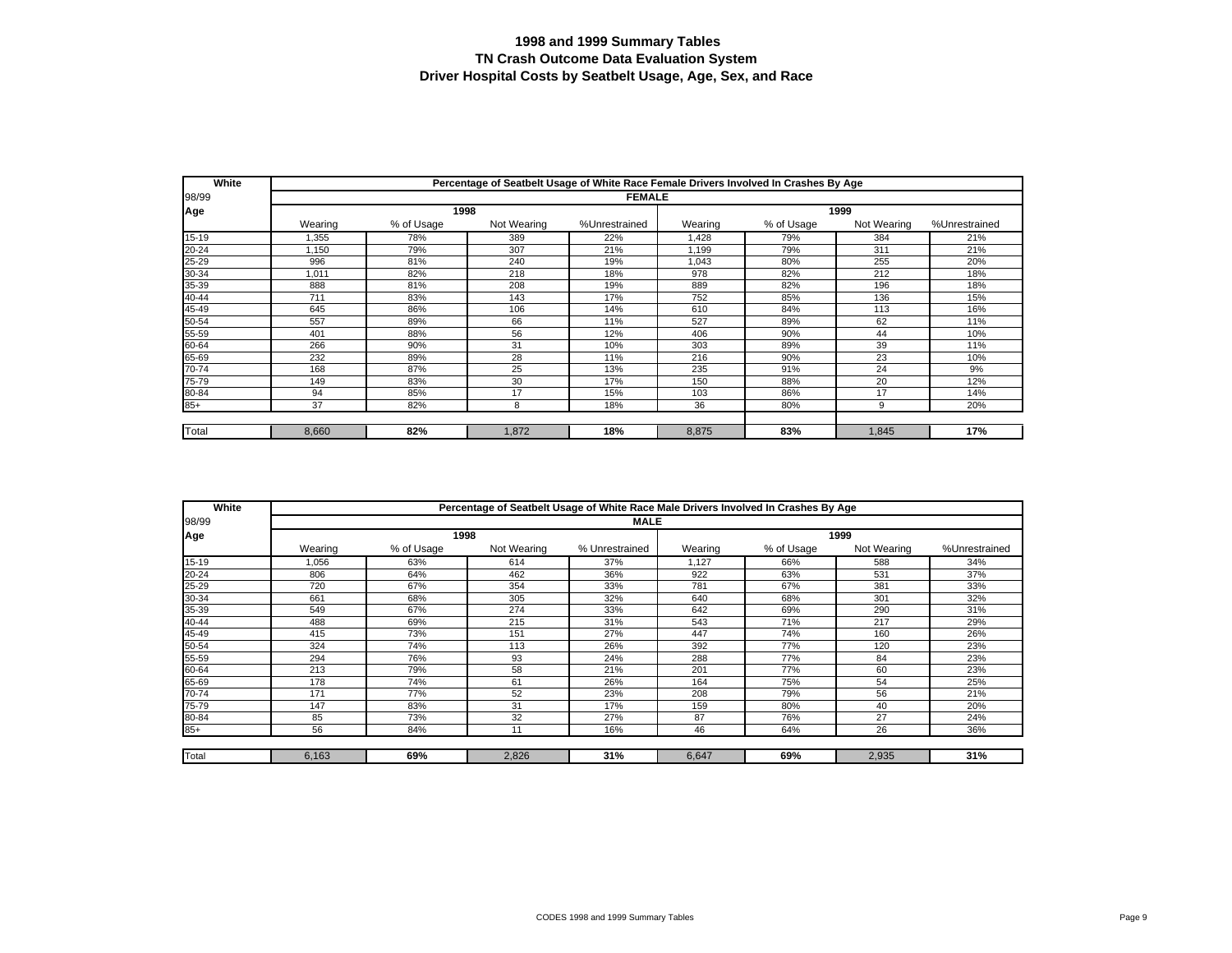| White |         |            | Percentage of Seatbelt Usage of White Race Female Drivers Involved In Crashes By Age |               |         |            |             |               |
|-------|---------|------------|--------------------------------------------------------------------------------------|---------------|---------|------------|-------------|---------------|
| 98/99 |         |            |                                                                                      | <b>FEMALE</b> |         |            |             |               |
| Age   |         |            | 1998                                                                                 |               |         |            | 1999        |               |
|       | Wearing | % of Usage | Not Wearing                                                                          | %Unrestrained | Wearing | % of Usage | Not Wearing | %Unrestrained |
| 15-19 | 1,355   | 78%        | 389                                                                                  | 22%           | 1,428   | 79%        | 384         | 21%           |
| 20-24 | 1.150   | 79%        | 307                                                                                  | 21%           | 1.199   | 79%        | 311         | 21%           |
| 25-29 | 996     | 81%        | 240                                                                                  | 19%           | 1,043   | 80%        | 255         | 20%           |
| 30-34 | 1,011   | 82%        | 218                                                                                  | 18%           | 978     | 82%        | 212         | 18%           |
| 35-39 | 888     | 81%        | 208                                                                                  | 19%           | 889     | 82%        | 196         | 18%           |
| 40-44 | 711     | 83%        | 143                                                                                  | 17%           | 752     | 85%        | 136         | 15%           |
| 45-49 | 645     | 86%        | 106                                                                                  | 14%           | 610     | 84%        | 113         | 16%           |
| 50-54 | 557     | 89%        | 66                                                                                   | 11%           | 527     | 89%        | 62          | 11%           |
| 55-59 | 401     | 88%        | 56                                                                                   | 12%           | 406     | 90%        | 44          | 10%           |
| 60-64 | 266     | 90%        | 31                                                                                   | 10%           | 303     | 89%        | 39          | 11%           |
| 65-69 | 232     | 89%        | 28                                                                                   | 11%           | 216     | 90%        | 23          | 10%           |
| 70-74 | 168     | 87%        | 25                                                                                   | 13%           | 235     | 91%        | 24          | 9%            |
| 75-79 | 149     | 83%        | 30                                                                                   | 17%           | 150     | 88%        | 20          | 12%           |
| 80-84 | 94      | 85%        | 17                                                                                   | 15%           | 103     | 86%        | 17          | 14%           |
| $85+$ | 37      | 82%        | 8                                                                                    | 18%           | 36      | 80%        | 9           | 20%           |
|       |         |            |                                                                                      |               |         |            |             |               |
| Total | 8.660   | 82%        | 1.872                                                                                | 18%           | 8,875   | 83%        | 1.845       | 17%           |

| Percentage of Seatbelt Usage of White Race Male Drivers Involved In Crashes By Age<br>White |         |            |             |                |         |            |             |               |  |  |  |  |
|---------------------------------------------------------------------------------------------|---------|------------|-------------|----------------|---------|------------|-------------|---------------|--|--|--|--|
| 98/99                                                                                       |         |            |             | <b>MALE</b>    |         |            |             |               |  |  |  |  |
| Age                                                                                         |         | 1998       |             |                |         |            | 1999        |               |  |  |  |  |
|                                                                                             | Wearing | % of Usage | Not Wearing | % Unrestrained | Wearing | % of Usage | Not Wearing | %Unrestrained |  |  |  |  |
| 15-19                                                                                       | 1,056   | 63%        | 614         | 37%            | 1,127   | 66%        | 588         | 34%           |  |  |  |  |
| 20-24                                                                                       | 806     | 64%        | 462         | 36%            | 922     | 63%        | 531         | 37%           |  |  |  |  |
| 25-29                                                                                       | 720     | 67%        | 354         | 33%            | 781     | 67%        | 381         | 33%           |  |  |  |  |
| 30-34                                                                                       | 661     | 68%        | 305         | 32%            | 640     | 68%        | 301         | 32%           |  |  |  |  |
| 35-39                                                                                       | 549     | 67%        | 274         | 33%            | 642     | 69%        | 290         | 31%           |  |  |  |  |
| 40-44                                                                                       | 488     | 69%        | 215         | 31%            | 543     | 71%        | 217         | 29%           |  |  |  |  |
| 45-49                                                                                       | 415     | 73%        | 151         | 27%            | 447     | 74%        | 160         | 26%           |  |  |  |  |
| 50-54                                                                                       | 324     | 74%        | 113         | 26%            | 392     | 77%        | 120         | 23%           |  |  |  |  |
| 55-59                                                                                       | 294     | 76%        | 93          | 24%            | 288     | 77%        | 84          | 23%           |  |  |  |  |
| 60-64                                                                                       | 213     | 79%        | 58          | 21%            | 201     | 77%        | 60          | 23%           |  |  |  |  |
| 65-69                                                                                       | 178     | 74%        | 61          | 26%            | 164     | 75%        | 54          | 25%           |  |  |  |  |
| 70-74                                                                                       | 171     | 77%        | 52          | 23%            | 208     | 79%        | 56          | 21%           |  |  |  |  |
| 75-79                                                                                       | 147     | 83%        | 31          | 17%            | 159     | 80%        | 40          | 20%           |  |  |  |  |
| 80-84                                                                                       | 85      | 73%        | 32          | 27%            | 87      | 76%        | 27          | 24%           |  |  |  |  |
| $85+$                                                                                       | 56      | 84%        | 11          | 16%            | 46      | 64%        | 26          | 36%           |  |  |  |  |
|                                                                                             |         |            |             |                |         |            |             |               |  |  |  |  |
| Total                                                                                       | 6,163   | 69%        | 2,826       | 31%            | 6,647   | 69%        | 2,935       | 31%           |  |  |  |  |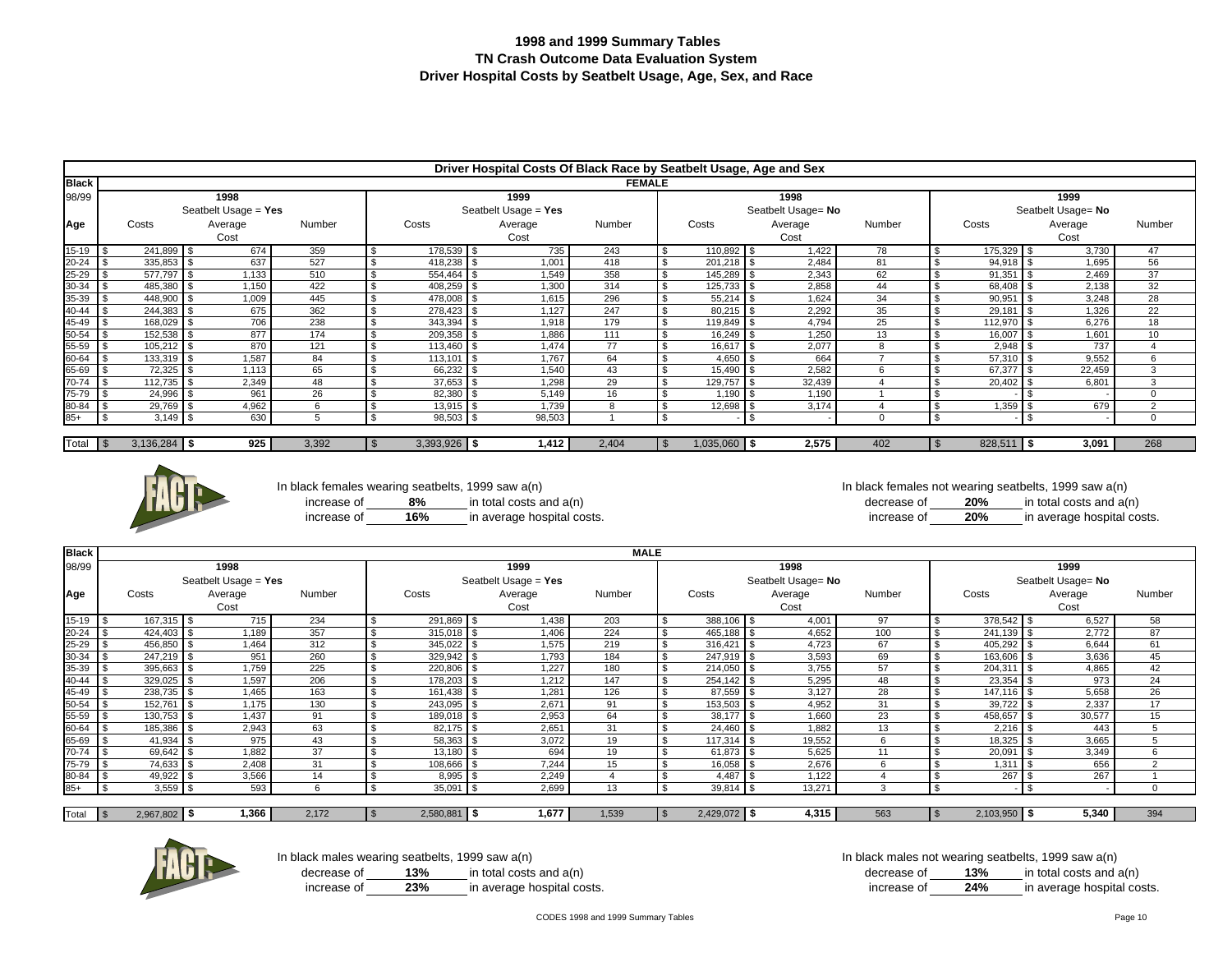|              |                        |                      |        |      |                | Driver Hospital Costs Of Black Race by Seatbelt Usage, Age and Sex |               |                |                    |                |      |                         |                    |                |
|--------------|------------------------|----------------------|--------|------|----------------|--------------------------------------------------------------------|---------------|----------------|--------------------|----------------|------|-------------------------|--------------------|----------------|
| <b>Black</b> |                        |                      |        |      |                |                                                                    | <b>FEMALE</b> |                |                    |                |      |                         |                    |                |
| 98/99        |                        | 1998                 |        |      |                | 1999                                                               |               |                | 1998               |                |      |                         | 1999               |                |
|              |                        | Seatbelt Usage = Yes |        |      |                | Seatbelt Usage = Yes                                               |               |                | Seatbelt Usage= No |                |      |                         | Seatbelt Usage= No |                |
| Age          | Costs                  | Average              | Number |      | Costs          | Average                                                            | Number        | Costs          | Average            | Number         |      | Costs                   | Average            | Number         |
|              |                        | Cost                 |        |      |                | Cost                                                               |               |                | Cost               |                |      |                         | Cost               |                |
| 15-19        | 241,899 \$             | 674                  | 359    |      | 178,539        | 735                                                                | 243           | 110,892 \$     | 1,422              | 78             |      | 175,329 \$              | 3,730              | 47             |
| 20-24        | 335,853 \$             | 637                  | 527    |      | 418,238        | 1,001<br>l SS                                                      | 418           | 201,218 \$     | 2,484              | 81             |      | 94,918 \$               | 1,695              | 56             |
| 25-29        | 577,797 \$             | 1,133                | 510    |      | 554,464        | 1.549                                                              | 358           | 145,289 \$     | 2,343              | 62             |      | 91,351                  | 2,469              | 37             |
| 30-34        | 485,380 \$             | 1,150                | 422    |      | 408,259        | 1,300                                                              | 314           | 125,733 \$     | 2,858              | 44             |      | 68,408 \$               | 2,138              | 32             |
| 35-39        | 448,900 \$             | 1,009                | 445    |      | 478,008        | 1,615                                                              | 296           | $55,214$ \$    | 1.624              | 34             |      | 90,951                  | 3,248              | 28             |
| 40-44        | 244,383 \$             | 675                  | 362    |      | 278,423        | 1,127                                                              | 247           | $80,215$ \$    | 2,292              | 35             |      | 29,181                  | 1,326              | 22             |
| 45-49        | 168,029 \$             | 706                  | 238    |      | 343,394        | 1.918                                                              | 179           | 119,849        | 4,794              | 25             |      | 112,970                 | 6,276              | 18             |
| 50-54        | 152,538 \$             | 877                  | 174    |      | 209,358        | 1,886                                                              | 111           | 16,249         | 1,250              | 13             |      | 16,007                  | 1,601              | 10             |
| 55-59        | 105,212 \$             | 870                  | 121    |      | 113,460        | 1,474                                                              | 77            | $16,617$ \$    | 2,077              | 8              |      | $2,948$ \ $\frac{9}{2}$ | 737                |                |
| 60-64        | 133,319 \$             | 1,587                | 84     |      | 113,101        | 1.767<br>I S                                                       | 64            | 4,650          | 664                | $\overline{ }$ |      | 57,310 \$               | 9,552              | 6              |
| 65-69        | 72,325 \$              | 1,113                | 65     |      | 66,232         | 1,540<br>l S                                                       | 43            | 15,490         | 2,582              | 6              |      | 67,377 \$               | 22,459             | 3              |
| 70-74        | 112,735 \$             | 2,349                | 48     |      | 37,653         | 1,298                                                              | 29            | 129,757 \$     | 32,439             |                |      | 20,402                  | 6,801              | 3              |
| 75-79        | 24,996                 | 961                  | 26     |      | 82,380         | 5,149                                                              | 16            | 1,190          | 1,190              |                |      |                         |                    | 0              |
| 80-84        | 29,769                 | 4,962                | 6      |      | $13,915$ \$    | 1,739                                                              | 8             | 12,698         | 3,174              |                |      | 1,359                   | 679                | $\overline{2}$ |
| $85+$        | $3,149$ \$             | 630                  | 5      | \$   | 98,503 \$      | 98,503                                                             |               |                |                    | $\Omega$       |      |                         |                    | $\mathbf{0}$   |
|              |                        |                      |        |      |                |                                                                    |               |                |                    |                |      |                         |                    |                |
| Total        | $3,136,284$ \$<br>- 15 | 925                  | 3,392  | l \$ | $3,393,926$ \$ | 1,412                                                              | 2,404         | $1,035,060$ \$ | 2,575              | 402            | - 96 | 828,511                 | 3,091<br>- 15      | 268            |



increase of **8%**increase of**16%**

In black females wearing seatbelts, 1999 saw a(n) In black females not wearing seatbelts, 1999 saw a(n) In black females not wearing seatbelts, 1999 saw a(n) in total costs and a(n) decrease of **20%** in total costs and a(n) in average hospital costs. **increase of the average of the average of the average hospital costs. in** average hospital costs.

| <b>Black</b>   |                       |                      |        |      |             |                      | <b>MALE</b>    |            |                |                    |        |               |            |                    |                |
|----------------|-----------------------|----------------------|--------|------|-------------|----------------------|----------------|------------|----------------|--------------------|--------|---------------|------------|--------------------|----------------|
| 98/99          |                       | 1998                 |        |      |             | 1999                 |                |            |                | 1998               |        |               |            | 1999               |                |
|                |                       | Seatbelt Usage = Yes |        |      |             | Seatbelt Usage = Yes |                |            |                | Seatbelt Usage= No |        |               |            | Seatbelt Usage= No |                |
| Age            | Costs                 | Average              | Number |      | Costs       | Average              | Number         |            | Costs          | Average            | Number |               | Costs      | Average            | Number         |
|                |                       | Cost                 |        |      |             | Cost                 |                |            |                | Cost               |        |               |            | Cost               |                |
| $15 - 19$      | 167,315 \$            | 715                  | 234    |      | 291,869 \$  | 1,438                | 203            |            | 388,106 \$     | 4,001              | 97     |               | 378,542 \$ | 6,527              | 58             |
| 20-24<br>25-29 | 424,403 \$            | 1,189                | 357    |      | 315,018 \$  | 1,406                | 224            |            | 465,188 \$     | 4,652              | 100    |               | 241,139 \$ | 2,772              | 87             |
|                | 456,850 \$            | 1,464                | 312    |      | 345,022     | 1,575<br>- \$        | 219            |            | 316,421 \$     | 4,723              | 67     |               | 405,292    | 6,644              | 61             |
| $30 - 34$      | 247,219 \$            | 951                  | 260    |      | 329,942     | 1,793                | 184            |            | 247,919 \$     | 3,593              | 69     |               | 163,606    | 3,636              | 45             |
| 35-39          | 395,663 \$            | 1,759                | 225    |      | 220,806     | 1,227                | 180            |            | 214,050 \$     | 3,755              | 57     |               | 204,311 \$ | 4,865              | 42             |
| 40-44          | 329,025 \$            | 1,597                | 206    |      | 178,203 \$  | 1,212                | 147            |            | 254,142 \$     | 5,295              | 48     |               | 23,354     | 973                | 24             |
| 45-49          | 238,735 \$            | 1,465                | 163    |      | 161,438     | 1,281<br>IS.         | 126            |            | 87,559 \$      | 3,127              | 28     |               | 147,116 \$ | 5,658              | 26             |
| 50-54          | 152,761 \$            | 1,175                | 130    |      | 243,095     | 2,671<br>l \$        | 91             |            | 153,503 \$     | 4,952              | 31     |               | 39,722     | 2,337              | 17             |
| 55-59          | 130,753 \$            | 1,437                | 91     |      | 189,018 \$  | 2,953                | 64             |            | 38,177 \$      | 1,660              | 23     |               | 458,657    | 30,577             | 15             |
| 60-64          | 185,386 \$            | 2,943                | 63     |      | $82,175$ \$ | 2,651                | 31             |            | 24,460 \$      | 1.882              | 13     |               | $2,216$ \$ | 443                | 5              |
| 65-69          |                       | $41,934$ \$<br>975   | 43     |      | 58,363      | 3,072                | 19             |            | 117,314 \$     | 19,552             | 6      |               | 18,325     | 3,665              | 5              |
| 70-74          |                       | 69,642 \$<br>1.882   | 37     |      | 13,180      | 694                  | 19             |            | 61,873 \$      | 5,625              | 11     |               | 20,091     | 3,349              | 6              |
| 75-79          |                       | 74,633 \$<br>2,408   | 31     |      | 108,666     | 7.244                | 15             |            | 16,058 \$      | 2,676              | 6      |               | 1,311      | 656                | $\overline{2}$ |
| 80-84          |                       | 49,922 \$<br>3,566   | 14     |      | 8,995       | 2,249                | $\overline{4}$ |            | $4,487$ \$     | 1.122              |        |               | 267        | 267                |                |
| $85+$          |                       | $3,559$ \$<br>593    | 6      |      | $35,091$ \$ | 2,699                | 13             |            | 39,814 \$      | 13,271             | 3      |               |            |                    | $\Omega$       |
|                |                       |                      |        |      |             |                      |                |            |                |                    |        |               |            |                    |                |
| Total          | 2,967,802   \$<br>l S | 1,366                | 2,172  | I SS | 2,580,881   | 1,677<br>- 5         | 1,539          | $\sqrt{3}$ | $2,429,072$ \$ | 4,315              | 563    | $\mathcal{S}$ | 2,103,950  | 5,340              | 394            |



decrease of **13%**in total costs and a(n) increase of **23%**in average hospital costs.

In black males wearing seatbelts, 1999 saw a(n)<br>
decrease of the state in total center and a(n)<br>
decrease of the state limited seats and a(n)

| decrease or | 15% | in total costs and a(n)    |
|-------------|-----|----------------------------|
| increase of | 24% | in average hospital costs. |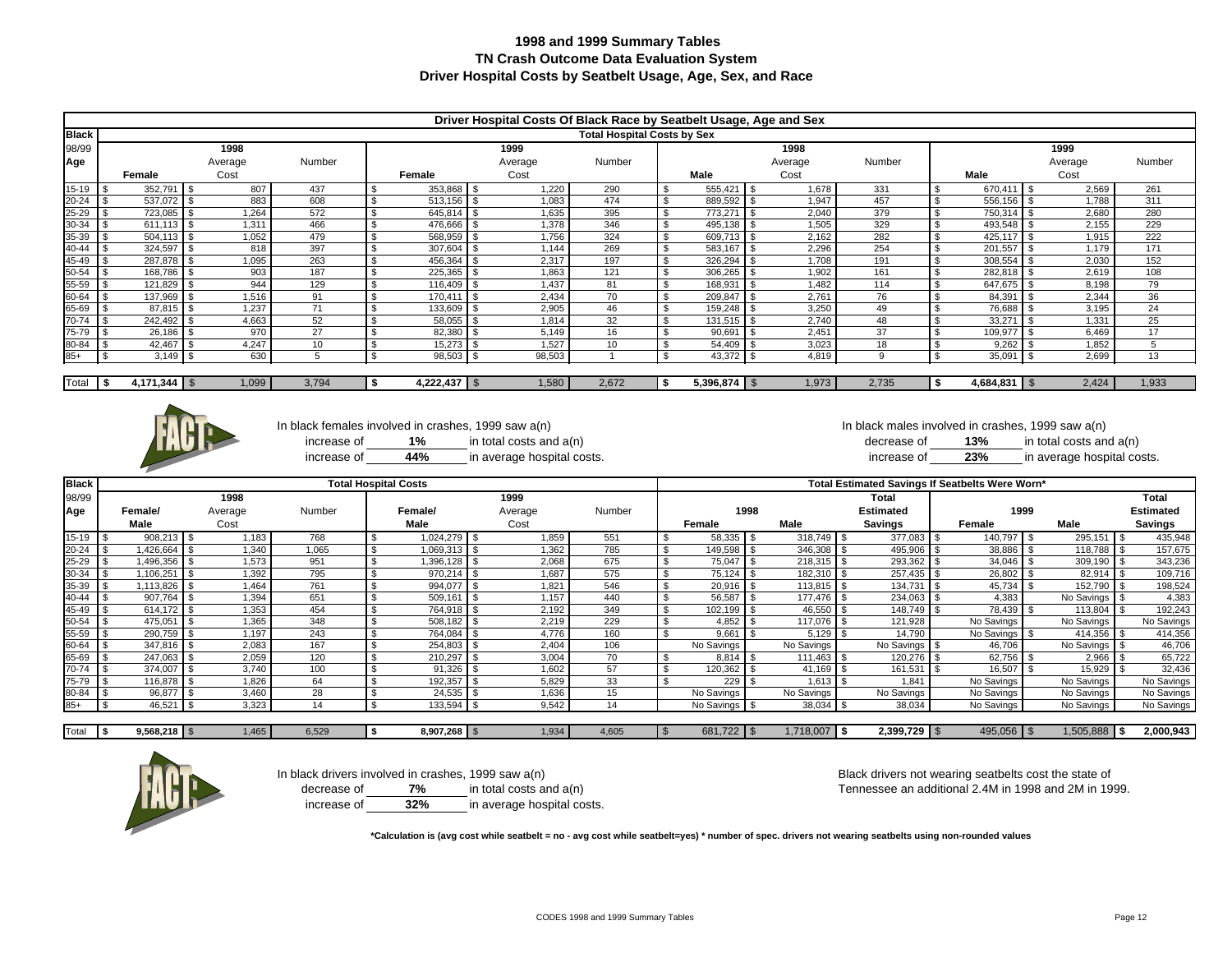|              |     |              |         |        |    |                |         |        | Driver Hospital Costs Of Black Race by Seatbelt Usage, Age and Sex |                |         |        |      |              |         |        |
|--------------|-----|--------------|---------|--------|----|----------------|---------|--------|--------------------------------------------------------------------|----------------|---------|--------|------|--------------|---------|--------|
| <b>Black</b> |     |              |         |        |    |                |         |        | <b>Total Hospital Costs by Sex</b>                                 |                |         |        |      |              |         |        |
| 98/99        |     |              | 1998    |        |    |                | 1999    |        |                                                                    |                | 1998    |        |      |              | 1999    |        |
| Age          |     |              | Average | Number |    |                | Average |        | Number                                                             |                | Average | Number |      |              | Average | Number |
|              |     | Female       | Cost    |        |    | Female         | Cost    |        |                                                                    | Male           | Cost    |        |      | Male         | Cost    |        |
| $15 - 19$    |     | 352,791 \$   | 807     | 437    |    | 353,868        |         | 1,220  | 290                                                                | 555,421 \$     | 1,678   | 331    |      | 670,411 \$   | 2,569   | 261    |
| 20-24        |     | 537,072      | 883     | 608    |    | 513,156        |         | 1,083  | 474                                                                | 889,592        | 1,947   | 457    |      | 556,156      | 1,788   | 311    |
| 25-29        |     | 723,085      | 1.264   | 572    |    | 645,814        |         | 1,635  | 395                                                                | 773,271 \$     | 2,040   | 379    |      | 750,314      | 2,680   | 280    |
| 30-34        |     | $611,113$ \$ | 1.311   | 466    |    | 476,666        |         | 1,378  | 346                                                                | 495,138        | 1,505   | 329    |      | 493,548      | 2,155   | 229    |
| 35-39        |     | 504,113 \$   | 1.052   | 479    |    | 568,959        |         | 1.756  | 324                                                                | 609.713 \$     | 2,162   | 282    |      | 425,117      | 1,915   | 222    |
| 40-44        |     | 324,597 \$   | 818     | 397    |    | 307,604        |         | 1,144  | 269                                                                | 583,167 \$     | 2,296   | 254    |      | 201,557      | 1,179   | 171    |
| 45-49        |     | 287,878 \$   | 1,095   | 263    |    | 456,364        |         | 2,317  | 197                                                                | 326,294 \$     | 1,708   | 191    |      | 308,554 \$   | 2,030   | 152    |
| 50-54        |     | 168,786      | 903     | 187    |    | 225,365        |         | 1,863  | 121                                                                | 306,265 \$     | 1,902   | 161    |      | 282,818      | 2,619   | 108    |
| 55-59        |     | 121,829      | 944     | 129    |    | 116,409        |         | 1,437  | 81                                                                 | 168,931 \$     | 1,482   | 114    |      | 647,675      | 8,198   | 79     |
| 60-64        |     | 137,969      | 1,516   | 91     |    | 170,411        |         | 2,434  | 70                                                                 | 209,847 \$     | 2,761   | 76     |      | 84,391       | 2,344   | 36     |
| 65-69        |     | 87,815       | 1.237   | 71     |    | 133,609        |         | 2,905  | 46                                                                 | 159,248        | 3,250   | 49     |      | 76,688       | 3,195   | 24     |
| 70-74        |     | 242,492      | 4,663   | 52     |    | 58,055         |         | 1,814  | 32                                                                 | 131,515 \$     | 2,740   | 48     |      | 33,271       | 1,331   | 25     |
| 75-79        |     | 26,186       | 970     | 27     |    | 82,380         |         | 5,149  | 16                                                                 | 90,691 \$      | 2.451   | 37     |      | 109,977      | 6,469   | 17     |
| 80-84        |     | 42,467       | 4.247   | 10     |    | 15,273         |         | 1,527  | 10                                                                 | 54,409         | 3,023   | 18     |      | 9.262        | 1,852   |        |
| $85+$        |     | $3,149$ \$   | 630     |        |    | 98,503         |         | 98,503 |                                                                    | 43,372 \$      | 4,819   | 9      |      | 35,091       | 2,699   | 13     |
|              |     |              |         |        |    |                |         |        |                                                                    |                |         |        |      |              |         |        |
| Total        | l S |              | 1,099   | 3,794  | s. | $4,222,437$ \$ |         | 1,580  | 2,672                                                              | $5,396,874$ \$ | 1,973   | 2,735  | - 35 | 4,684,831 \$ | 2,424   | 1,933  |



increase of **1%**increase of**44%**

In black females involved in crashes, 1999 saw a(n) In black males involved in crashes, 1999 saw a(n) In black males involved in crashes, 1999 saw a(n)

in total costs and a(n) decrease of the section of the section of the section of the section of the section of t<br>
in average hospital costs. in average hospital costs. **increase of a 23%** increase of **23%** in average hospital costs.

| <b>Black</b> |                |                      |        | <b>Total Hospital Costs</b> |         |        |                    |      |                |                  |                | Total Estimated Savings If Seatbelts Were Worn* |      |               |                  |
|--------------|----------------|----------------------|--------|-----------------------------|---------|--------|--------------------|------|----------------|------------------|----------------|-------------------------------------------------|------|---------------|------------------|
| 98/99        |                | 1998                 |        |                             | 1999    |        |                    |      |                | Total            |                |                                                 |      |               | Total            |
| Age          | Female/        | Average              | Number | Female/                     | Average | Number |                    | 1998 |                | <b>Estimated</b> |                |                                                 | 1999 |               | <b>Estimated</b> |
|              | Male           | Cost                 |        | Male                        | Cost    |        | Female             |      | Male           | Savings          |                | Female                                          |      | Male          | <b>Savings</b>   |
| 15-19        | 908,213 \$     | 1,183                | 768    | 1.024.279 \$                | 1.859   | 551    | 58,335 \$          |      | 318,749 \$     |                  | 377,083        | 140.797                                         |      | 295,151       | 435,948          |
| 20-24        | 1,426,664 \$   | 1.340                | 1,065  | 1,069,313 \$                | 1,362   | 785    | 149,598 \$         |      | 346,308 \$     |                  | 495,906 \$     | 38,886                                          |      | 118,788 \$    | 157,675          |
| 25-29        | 1,496,356 \$   | 1,573                | 951    | 1,396,128 \$                | 2,068   | 675    | 75,047             |      | 218,315        |                  | 293,362        | 34,046                                          |      | 309,190 \$    | 343,236          |
| 30-34        | 1,106,251      | 1.392                | 795    | 970,214 \$                  | 1,687   | 575    | 75,124             |      | 182,310        |                  | 257,435        | 26,802                                          |      | 82,914 \$     | 109,716          |
| 35-39        | 1,113,826      | 1.464                | 761    | 994.077 \$                  | 1,821   | 546    | 20,916             |      | 113,815        |                  | 134,731 \$     | 45,734                                          |      | 152,790 \$    | 198,524          |
| 40-44        | 907,764 \$     | 1,394                | 651    | 509,161 \$                  | 1,157   | 440    | 56,587             |      | 177,476        |                  | 234,063        | 4,383                                           |      | No Savings \$ | 4,383            |
| 45-49        | 614,172 \$     | 1,353                | 454    | 764,918 \$                  | 2,192   | 349    | 102,199            |      | 46,550         |                  | 148,749 \$     | 78,439 \$                                       |      | 113,804 \$    | 192,243          |
| 50-54        | 475,051 \$     | 1,365                | 348    | 508,182 \$                  | 2,219   | 229    | 4,852              |      | 117,076        |                  | 121,928        | No Savings                                      |      | No Savings    | No Savings       |
| 55-59        | 290,759 \$     | 1.197                | 243    | 764,084 \$                  | 4,776   | 160    | 9,661              |      | 5,129          |                  | 14,790         | No Savings \$                                   |      | 414,356 \$    | 414,356          |
| 60-64        | 347,816 \$     | 2,083                | 167    | 254,803 \$                  | 2,404   | 106    | No Savings         |      | No Savings     |                  | No Savings \$  | 46,706                                          |      | No Savings \$ | 46,706           |
| 65-69        | 247,063 \$     | 2,059                | 120    | 210,297 \$                  | 3,004   | 70     | $8,814$ $\sqrt{5}$ |      | 111,463 \$     |                  | 120,276 \$     | 62,756 \$                                       |      | $2,966$ \$    | 65,722           |
| 70-74        | 374,007 \$     | 3,740                | 100    | $91,326$ \$                 | 1.602   | 57     | 120,362 \$         |      | $41,169$ \$    |                  | 161,531 \$     | 16,507 \$                                       |      | 15,929        | 32,436           |
| 75-79        | 116,878 \$     | 1,826                | 64     | 192,357 \$                  | 5,829   | 33     | 229                |      | $1,613$ \$     |                  | 1.841          | No Savings                                      |      | No Savings    | No Savings       |
| 80-84        |                | 96,877 \$<br>3,460   | 28     | $24,535$ \$                 | 1,636   | 15     | No Savings         |      | No Savings     |                  | No Savings     | No Savings                                      |      | No Savings    | No Savings       |
| $85+$        |                | $46,521$ \$<br>3,323 | 14     | 133,594 \$                  | 9,542   | 14     | No Savings \$      |      | 38,034 \$      |                  | 38,034         | No Savings                                      |      | No Savings    | No Savings       |
|              |                |                      |        |                             |         |        |                    |      |                |                  |                |                                                 |      |               |                  |
| Total \$     | $9,568,218$ \$ | 1,465                | 6,529  | $8,907,268$ \$              | 1,934   | 4,605  |                    |      | 1,718,007   \$ |                  | $2,399,729$ \$ | $495,056$ \$                                    |      | 1,505,888     | 2,000,943        |

decrease of **7%**increase of **32%**in average hospital costs.

In black drivers involved in crashes, 1999 saw a(n) example and the state of Black drivers not wearing seatbelts cost the state of in total costs and a(n) Tennessee an additional 2.4M in 1998 and 2M in 1999.

**\*Calculation is (avg cost while seatbelt = no - avg cost while seatbelt=yes) \* number of spec. drivers not wearing seatbelts using non-rounded values**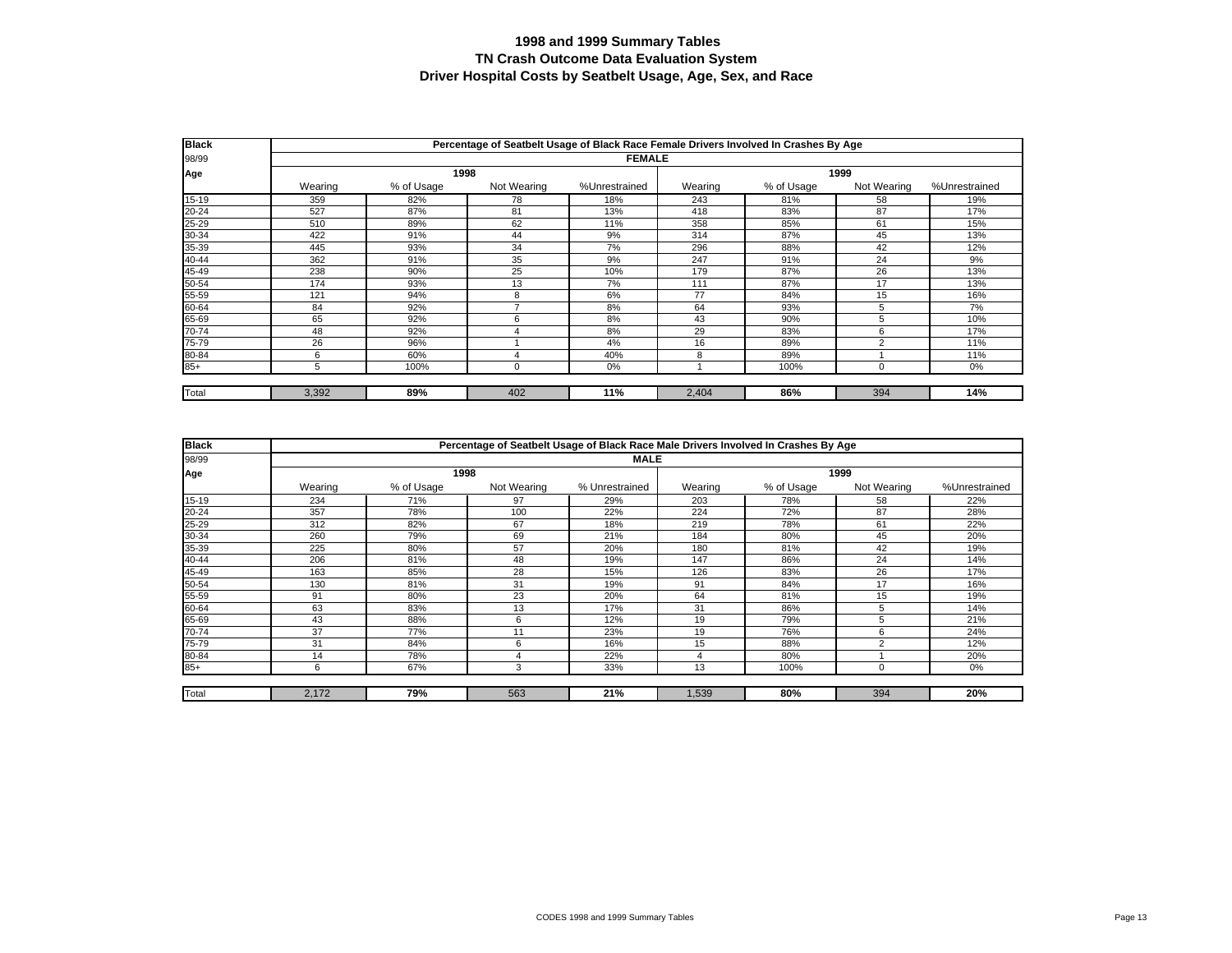| <b>Black</b> |         |            | Percentage of Seatbelt Usage of Black Race Female Drivers Involved In Crashes By Age |               |         |            |                |               |
|--------------|---------|------------|--------------------------------------------------------------------------------------|---------------|---------|------------|----------------|---------------|
| 98/99        |         |            |                                                                                      | <b>FEMALE</b> |         |            |                |               |
| Age          |         | 1998       |                                                                                      |               |         |            | 1999           |               |
|              | Wearing | % of Usage | Not Wearing                                                                          | %Unrestrained | Wearing | % of Usage | Not Wearing    | %Unrestrained |
| 15-19        | 359     | 82%        | 78                                                                                   | 18%           | 243     | 81%        | 58             | 19%           |
| 20-24        | 527     | 87%        | 81                                                                                   | 13%           | 418     | 83%        | 87             | 17%           |
| 25-29        | 510     | 89%        | 62                                                                                   | 11%           | 358     | 85%        | 61             | 15%           |
| 30-34        | 422     | 91%        | 44                                                                                   | 9%            | 314     | 87%        | 45             | 13%           |
| 35-39        | 445     | 93%        | 34                                                                                   | 7%            | 296     | 88%        | 42             | 12%           |
| 40-44        | 362     | 91%        | 35                                                                                   | 9%            | 247     | 91%        | 24             | 9%            |
| 45-49        | 238     | 90%        | 25                                                                                   | 10%           | 179     | 87%        | 26             | 13%           |
| 50-54        | 174     | 93%        | 13                                                                                   | 7%            | 111     | 87%        | 17             | 13%           |
| 55-59        | 121     | 94%        | 8                                                                                    | 6%            | 77      | 84%        | 15             | 16%           |
| 60-64        | 84      | 92%        | $\overline{\phantom{a}}$                                                             | 8%            | 64      | 93%        | 5              | 7%            |
| 65-69        | 65      | 92%        | 6                                                                                    | 8%            | 43      | 90%        | 5              | 10%           |
| 70-74        | 48      | 92%        |                                                                                      | 8%            | 29      | 83%        | 6              | 17%           |
| 75-79        | 26      | 96%        |                                                                                      | 4%            | 16      | 89%        | $\overline{2}$ | 11%           |
| 80-84        | 6       | 60%        |                                                                                      | 40%           | 8       | 89%        |                | 11%           |
| $85+$        | 5       | 100%       | 0                                                                                    | 0%            |         | 100%       | 0              | 0%            |
|              |         |            |                                                                                      |               |         |            |                |               |
| Total        | 3,392   | 89%        | 402                                                                                  | 11%           | 2,404   | 86%        | 394            | 14%           |

| <b>Black</b> |         |            | Percentage of Seatbelt Usage of Black Race Male Drivers Involved In Crashes By Age |                |                |            |                |               |
|--------------|---------|------------|------------------------------------------------------------------------------------|----------------|----------------|------------|----------------|---------------|
| 98/99        |         |            |                                                                                    | <b>MALE</b>    |                |            |                |               |
| Age          |         |            | 1998                                                                               |                |                |            | 1999           |               |
|              | Wearing | % of Usage | Not Wearing                                                                        | % Unrestrained | Wearing        | % of Usage | Not Wearing    | %Unrestrained |
| 15-19        | 234     | 71%        | 97                                                                                 | 29%            | 203            | 78%        | 58             | 22%           |
| 20-24        | 357     | 78%        | 100                                                                                | 22%            | 224            | 72%        | 87             | 28%           |
| 25-29        | 312     | 82%        | 67                                                                                 | 18%            | 219            | 78%        | 61             | 22%           |
| 30-34        | 260     | 79%        | 69                                                                                 | 21%            | 184            | 80%        | 45             | 20%           |
| 35-39        | 225     | 80%        | 57                                                                                 | 20%            | 180            | 81%        | 42             | 19%           |
| 40-44        | 206     | 81%        | 48                                                                                 | 19%            | 147            | 86%        | 24             | 14%           |
| 45-49        | 163     | 85%        | 28                                                                                 | 15%            | 126            | 83%        | 26             | 17%           |
| 50-54        | 130     | 81%        | 31                                                                                 | 19%            | 91             | 84%        | 17             | 16%           |
| 55-59        | 91      | 80%        | 23                                                                                 | 20%            | 64             | 81%        | 15             | 19%           |
| 60-64        | 63      | 83%        | 13                                                                                 | 17%            | 31             | 86%        | 5              | 14%           |
| 65-69        | 43      | 88%        | 6                                                                                  | 12%            | 19             | 79%        | 5              | 21%           |
| 70-74        | 37      | 77%        | 11                                                                                 | 23%            | 19             | 76%        | 6              | 24%           |
| 75-79        | 31      | 84%        | 6                                                                                  | 16%            | 15             | 88%        | $\overline{2}$ | 12%           |
| 80-84        | 14      | 78%        | 4                                                                                  | 22%            | $\overline{4}$ | 80%        |                | 20%           |
| $85+$        | 6       | 67%        | 3                                                                                  | 33%            | 13             | 100%       | $\mathbf 0$    | 0%            |
|              |         |            |                                                                                    |                |                |            |                |               |
| Total        | 2,172   | 79%        | 563                                                                                | 21%            | 1,539          | 80%        | 394            | 20%           |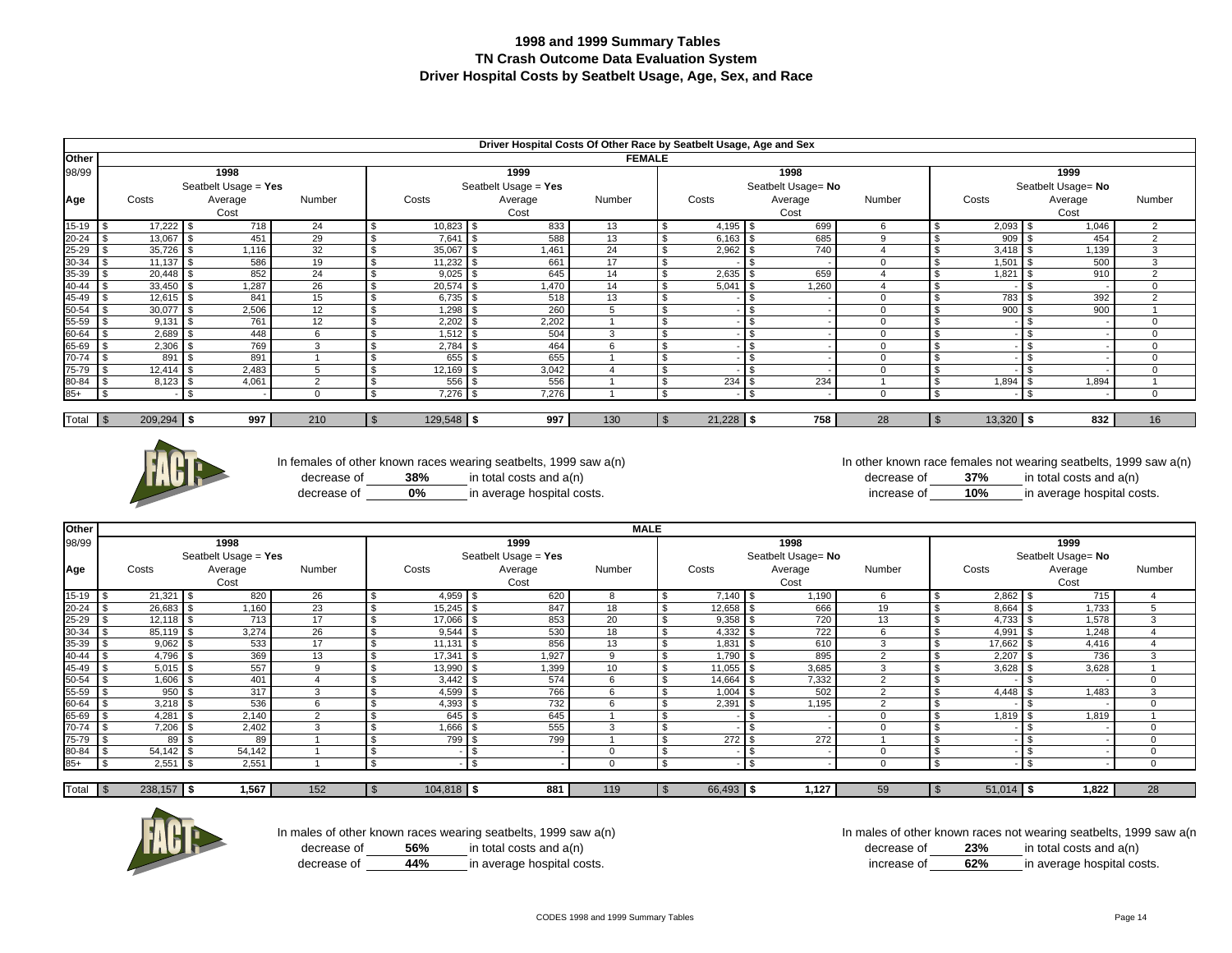|          |              |                                                          |          |            |              | Driver Hospital Costs Of Other Race by Seatbelt Usage, Age and Sex |                       |             |                    |          |             |                    |                |
|----------|--------------|----------------------------------------------------------|----------|------------|--------------|--------------------------------------------------------------------|-----------------------|-------------|--------------------|----------|-------------|--------------------|----------------|
| Other    |              |                                                          |          |            |              |                                                                    | <b>FEMALE</b>         |             |                    |          |             |                    |                |
| 98/99    |              | 1998                                                     |          |            |              | 1999                                                               |                       |             | 1998               |          |             | 1999               |                |
|          |              | Seatbelt Usage = Yes                                     |          |            |              | Seatbelt Usage = Yes                                               |                       |             | Seatbelt Usage= No |          |             | Seatbelt Usage= No |                |
| Age      | Costs        | Average                                                  | Number   |            | Costs        | Average                                                            | Number                | Costs       | Average            | Number   | Costs       | Average            | Number         |
|          |              | Cost                                                     |          |            |              | Cost                                                               |                       |             | Cost               |          |             | Cost               |                |
| 15-19    | 17,222 \$    | 718                                                      | 24       |            | $10,823$ \$  | 833                                                                | 13                    | $4,195$ \$  | 699                | 6        | 2,093       | 1,046              | $\overline{2}$ |
| 20-24    | $13,067$ \$  | 451                                                      | 29       |            | 7.641        | 588                                                                | 13                    | 6,163       | 685                | 9        | 909         | 454                | $\overline{2}$ |
| 25-29    | 35,726 \$    | 1,116                                                    | 32       |            | 35,067       | 1,461                                                              | 24                    | 2,962       | 740                |          | $3,418$ \;  | 1,139              | 3              |
| 30-34    |              | 586                                                      | 19       |            | 11,232       | 661                                                                | 17                    |             |                    |          | 1,501       | 500                | 3              |
| 35-39    |              | 852                                                      | 24       |            | 9,025        | 645                                                                | 14                    | 2,635       | 659                |          | 1,821       | 910                | $\overline{2}$ |
| 40-44    |              | $11,137$ \$<br>$20,448$ \$<br>$33,450$ \$<br>26<br>1,287 |          |            | 20,574       | 1,470                                                              | 14                    | 5,041       | 1,260              |          |             |                    | $\Omega$       |
| 45-49    | $12,615$ \$  | 841                                                      | 15       |            | 6,735        | 518                                                                | 13                    |             |                    | $\Omega$ | 783         | 392                | $\overline{2}$ |
| 50-54    | 30,077 \$    | 2,506                                                    | 12       |            | 1,298        | 260                                                                | 5                     |             |                    |          | 900         | 900                |                |
| 55-59    | $9,131$ \$   | 761                                                      | 12       | \$         | 2,202        | 2,202                                                              |                       |             |                    |          |             |                    | $\Omega$       |
| 60-64    | $2,689$ \$   | 448                                                      | 6        |            | $1,512$ \$   | 504                                                                | 3                     |             |                    | $\Omega$ |             |                    | 0              |
| 65-69    | $2,306$ \$   | 769                                                      | 3        |            | 2,784        | 464                                                                | 6                     |             |                    | 0        |             |                    | 0              |
| 70-74    | 891 \$       | 891                                                      |          |            | 655          | 655                                                                |                       |             |                    | $\Omega$ |             |                    | 0              |
| 75-79    | $12,414$ \$  | 2,483                                                    | 5        |            | 12,169       | 3,042                                                              | $\boldsymbol{\Delta}$ |             |                    | $\Omega$ |             |                    | $\Omega$       |
| 80-84    | 8,123        | 4,061                                                    | $\sim$   |            | 556          | 556                                                                |                       | 234         | 234                |          | 1,894       | 1,894              |                |
| $85+$    |              |                                                          | $\Omega$ | \$.        | $7,276$ \$   | 7,276                                                              |                       |             |                    | $\Omega$ |             |                    | $\Omega$       |
|          |              |                                                          |          |            |              |                                                                    |                       |             |                    |          |             |                    |                |
| Total \$ | $209,294$ \$ | 997                                                      | 210      | $\sqrt{3}$ | $129,548$ \$ | 997                                                                | 130                   | $21,228$ \$ | 758                | 28       | $13,320$ \$ | 832                | 16             |



In females of other known races wearing seatbelts, 1999 saw a(n) In other known race females not wearing seatbelts, 1999 saw a(n) decrease of **38%**decrease of **0%**

in total costs and a(n) **decrease of 37%** in total costs and a(n)

in average hospital costs. **increase of the set of the average of the average hospital costs. increase of the set of the average hospital costs.** 

| Other         |             |                      |        |                      |                      | <b>MALE</b> |            |                    |                |             |                    |                |
|---------------|-------------|----------------------|--------|----------------------|----------------------|-------------|------------|--------------------|----------------|-------------|--------------------|----------------|
| 98/99         |             | 1998                 |        |                      | 1999                 |             |            | 1998               |                |             | 1999               |                |
|               |             | Seatbelt Usage = Yes |        |                      | Seatbelt Usage = Yes |             |            | Seatbelt Usage= No |                |             | Seatbelt Usage= No |                |
| Age           | Costs       | Average              | Number | Costs                | Average              | Number      | Costs      | Average            | Number         | Costs       | Average            | Number         |
|               |             | Cost                 |        |                      | Cost                 |             |            | Cost               |                |             | Cost               |                |
| 15-19         | $21,321$ \$ | 820                  | 26     |                      | 620                  | 8           | $7,140$ \$ | 1,190              | 6              | $2,862$ \$  | 715                |                |
| $20 - 24$     | 26,683 \$   | 1,160                | 23     | $15,245$ \$          | 847                  | 18          | 12,658 \$  | 666                | 19             |             | 1,733              | 5              |
| 25-29         | $12,118$ \$ | 713                  | 17     | 17,066               | 853                  | 20          | $9,358$ \$ | 720                | 13             | $4,733$ \$  | 1,578              | 3              |
| 30-34         | 85,119 \$   | 3,274                | 26     | 9,544                | 530<br>l S           | 18          | $4,332$ \$ | 722                | 6              | $4,991$ \$  | 1,248              | 4              |
| 35-39         | 9,062       | 533                  | 17     | 11,131               | 856                  | 13          | 1,831      | 610                | 3              | 17,662 \$   | 4,416              | $\overline{4}$ |
| 40-44         | 4,796       | 369                  | 13     | 17,341               | 1,927                | 9           | 1,790      | 895                | $\overline{2}$ | $2,207$ \$  | 736                | 3              |
| 45-49         | $5,015$ \$  | 557                  | 9      | 13,990               | 1,399                | 10          | 11,055     | 3,685              | 3              | 3,628       | 3,628              |                |
| 50-54         | 1,606 \$    | 401                  | 4      | 3,442                | 574                  | 6           | 14,664 \$  | 7,332              | $\overline{2}$ |             |                    | $\mathbf 0$    |
| 55-59         | $950$ \$    | 317                  | 3      | 4,599                | 766                  | 6           | $1,004$ \$ | 502                | $\overline{2}$ | 4,448       | 1,483              | 3              |
| 60-64         | $3,218$ \$  | 536                  | 6      | 4,393                | 732                  | 6           | 2,391      | 1,195              | $\overline{2}$ |             |                    |                |
| 65-69         |             | 2,140                | 2      | 645                  | 645                  |             |            |                    | $\Omega$       | 1,819       | 1,819              |                |
| 70-74         | 7,206       | 2,402                | 3      | 1,666                | 555                  | 3           |            |                    |                |             |                    |                |
| 75-79         | 89          | 89                   |        | 799                  | 799                  |             | 272        | 272                |                |             |                    |                |
| 80-84         | 54,142 \$   | 54,142               |        |                      |                      | $\Omega$    |            |                    |                |             |                    |                |
| $85+$         | $2,551$ \$  | 2,551                |        |                      |                      | $\Omega$    |            |                    |                |             | -\$                |                |
|               |             |                      |        |                      |                      |             |            |                    |                |             |                    |                |
| Total $\sqrt$ | 238,157     | 1.567                | 152    | $104,818$ \$<br>- \$ | 881                  | 119         | 66,493 \$  | 1,127              | 59             | $51,014$ \$ | 1,822              | 28             |



decrease of **56%**decrease of **44%**

In males of other known races wearing seatbelts, 1999 saw a(n) In males of other known races not wearing seatbelts, 1999 saw a(n)

in total costs and a(n) **in total costs and a(n)** decrease of **23%** in total costs and a(n) in average hospital costs. increase of **62%** in average hospital costs.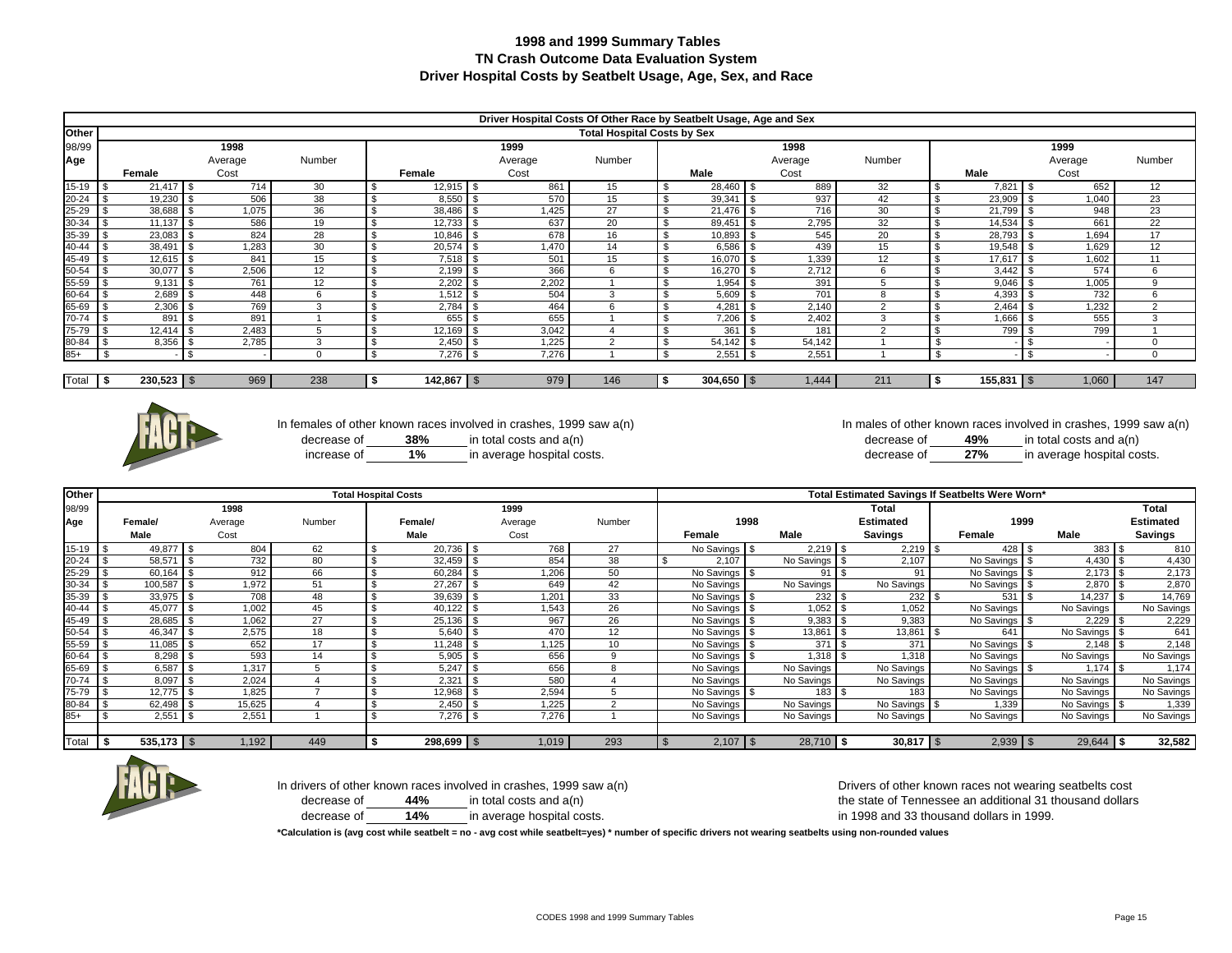|           |                    |                |        |                    | Driver Hospital Costs Of Other Race by Seatbelt Usage, Age and Sex |                                    |                |         |          |      |                         |         |                |
|-----------|--------------------|----------------|--------|--------------------|--------------------------------------------------------------------|------------------------------------|----------------|---------|----------|------|-------------------------|---------|----------------|
| Other     |                    |                |        |                    |                                                                    | <b>Total Hospital Costs by Sex</b> |                |         |          |      |                         |         |                |
| 98/99     |                    | 1998           |        |                    | 1999                                                               |                                    |                | 1998    |          |      |                         | 1999    |                |
| Age       |                    | Average        | Number |                    | Average                                                            | Number                             |                | Average | Number   |      |                         | Average | Number         |
|           | Female             | Cost           |        | Female             | Cost                                                               |                                    | Male           | Cost    |          |      | Male                    | Cost    |                |
| $15 - 19$ | $21,417$ \$        | 714            | 30     | $12,915$ \$        | 861                                                                | 15                                 | 28,460 \$      | 889     | 32       |      | 7.821                   | 652     | 12             |
| 20-24     | 19,230             | 506            | 38     | 8,550              | 570                                                                | 15                                 | $39,341$ \$    | 937     | 42       |      | 23,909                  | 1,040   | 23             |
| $25 - 29$ | 38,688             | 1,075          | 36     | 38,486             | 1,425                                                              | 27                                 | 21,476 \$      | 716     | 30       |      | 21,799                  | 948     | 23             |
| 30-34     | $11,137$ \$        | 586            | 19     | 12,733             | 637                                                                | 20                                 | 89,451 \$      | 2,795   | 32       |      | 14,534                  | 661     | 22             |
| 35-39     | 23,083 \$          | 824            | 28     | 10,846             | 678                                                                | 16                                 | 10,893 \$      | 545     | 20       |      | 28,793                  | 1,694   | 17             |
| 40-44     | 38,491             | 1,283<br>1 I S | 30     | 20,574             | 1,470                                                              | 14                                 | 6,586          | 439     | 15       |      | 19,548                  | 1,629   | 12             |
| 45-49     | $12,615$ \$        | 841            | 15     | 7,518              | 501                                                                | 15                                 | 16,070         | 1,339   | 12       |      | 17,617                  | 1,602   | 11             |
| 50-54     | 30,077             | 2,506          | 12     | 2,199              | 366                                                                | 6                                  | 16,270         | 2,712   | 6        |      | 3,442                   | 574     | 6              |
| 55-59     | 9,131              | 761            | 12     | 2,202              | 2,202                                                              |                                    | 1,954          | 391     |          |      | 9,046                   | 1,005   | 9              |
| 60-64     | 2,689              | 448            |        | 1,512              | 504                                                                | 3                                  | 5,609          | 701     | 8        |      | 4,393                   | 732     | $\sim$<br>'n   |
| 65-69     | $2,306$ \$         | 769            | $\sim$ | 2,784              | 464                                                                | 6                                  | 4,281          | 2.140   | $\sim$   |      | 2,464                   | 1.232   | $\overline{2}$ |
| 70-74     | 891                | 891<br>l \$    |        | 655                | 655                                                                |                                    | 7,206          | 2,402   | 3        |      | 1,666                   | 555     | 3              |
| 75-79     | $12,414$ \$        | 2,483          |        | 12,169             | 3,042                                                              |                                    | 361            | 181     | $\Omega$ |      | 799                     | 799     |                |
| 80-84     | 8,356              | 2.785          |        | 2,450              | 1,225                                                              | $\Omega$                           | 54,142         | 54,142  |          |      |                         |         |                |
| $85+$     |                    | \$             |        | 7,276              | 7,276                                                              |                                    | 2,551          | 2,551   |          |      |                         |         |                |
|           |                    |                |        |                    |                                                                    |                                    |                |         |          |      |                         |         |                |
| Total     | $230,523$ \$<br>IS | 969            | 238    | \$<br>$142,867$ \$ | 979                                                                | 146                                | $304,650$ \ \$ | 1.444   | 211      | - 55 | $155,831$ $\frac{8}{3}$ | 1,060   | 147            |



decrease of **38%**increase of**1%**

In females of other known races involved in crashes, 1999 saw a(n) In males of other known races involved in crashes, 1999 saw a(n)

in total costs and a(n) **decrease of 49%** in total costs and a(n) in average hospital costs. decrease of **27%** in average hospital costs.

| Other     |             |         |        | <b>Total Hospital Costs</b> |                |               |        |               |      |               |                  | Total Estimated Savings If Seatbelts Were Worn* |               |            |                  |
|-----------|-------------|---------|--------|-----------------------------|----------------|---------------|--------|---------------|------|---------------|------------------|-------------------------------------------------|---------------|------------|------------------|
| 98/99     |             | 1998    |        |                             |                | 1999          |        |               |      |               | Total            |                                                 |               |            | Total            |
| Age       | Female/     | Average | Number |                             | Female/        | Average       | Number |               | 1998 |               | <b>Estimated</b> |                                                 | 1999          |            | <b>Estimated</b> |
|           | Male        | Cost    |        |                             | Male           | Cost          |        | Female        |      | Male          | Savings          | Female                                          | Male          |            | <b>Savings</b>   |
| 15-19     | 49,877 \$   | 804     | 62     |                             | 20,736 \$      | 768           | 27     | No Savings \$ |      | $2,219$ \$    | $2,219$ \$       |                                                 |               | 383S       | 810              |
| $20 - 24$ | 58,571 \$   | 732     | 80     |                             | 32,459         | 854           | 38     | 2,107         |      | No Savings \$ | 2,107            | No Savings \$                                   |               | $4,430$ \$ | 4,430            |
| 25-29     | $60,164$ \$ | 912     | 66     |                             | 60,284         | 1,206         | 50     | No Savings \$ |      | $91$ $\sqrt$  | 91               | No Savings \$                                   | 2,173         |            | 2,173            |
| 30-34     | 100,587 \$  | 1.972   | 51     |                             | 27,267         | 649           | 42     | No Savings    |      | No Savings    | No Savings       | No Savings \$                                   | 2,870 \$      |            | 2,870            |
| 35-39     | 33,975 \$   | 708     | 48     |                             | 39,639         | 1.201         | 33     | No Savings \$ |      | 232S          | 232 S            | 531                                             | 14,237        |            | 14,769           |
| 40-44     | 45,077 \$   | 1.002   | 45     |                             | 40,122         | 1.543         | 26     | No Savings \$ |      | 1,052         | 1.052            | No Savings                                      | No Savings    |            | No Savings       |
| 45-49     | 28,685 \$   | 1.062   | 27     |                             | $25,136$ \$    | 967           | 26     | No Savings \$ |      | $9,383$ \$    | 9,383            | No Savings \$                                   | 2,229         |            | 2,229            |
| 50-54     | 46,347 \$   | 2,575   | 18     |                             | 5,640          | 470           | 12     | No Savings \$ |      | 13,861 \$     | 13,861           | 641                                             | No Savings \$ |            | 641              |
| 55-59     | 11,085 \$   | 652     | 17     |                             | 11,248         | 1,125         | 10     | No Savings \$ |      |               | 371              | No Savings \$                                   |               | $2,148$ \$ | 2,148            |
| 60-64     | 8,298 \$    | 593     | 14     |                             | 5,905          | 656           | 9      | No Savings \$ |      | $1,318$ \$    | 1.318            | No Savings                                      | No Savings    |            | No Savings       |
| 65-69     | $6,587$ \$  | 1.317   |        |                             | 5,247          | 656           | 8      | No Savings    |      | No Savings    | No Savings       | No Savings \$                                   |               |            | 1,174            |
| 70-74     | $8,097$ \$  | 2.024   |        |                             | 2,321          | 580           |        | No Savings    |      | No Savings    | No Savings       | No Savings                                      | No Savings    |            | No Savings       |
| 75-79     | $12,775$ \$ | 1.825   |        |                             | 12,968         | 2,594         | 5      | No Savings \$ |      | $183$ \ $$$   | 183              | No Savings                                      | No Savings    |            | No Savings       |
| 80-84     | 62,498 \$   | 15,625  |        |                             | 2,450          | 1,225<br>l SS | 2      | No Savings    |      | No Savings    | No Savings \$    | 1,339                                           | No Savings \$ |            | 1,339            |
| $85+$     | $2,551$ \$  | 2,551   |        |                             | $7,276$ \$     | 7,276         |        | No Savings    |      | No Savings    | No Savings       | No Savings                                      | No Savings    |            | No Savings       |
|           |             |         |        |                             |                |               |        |               |      |               |                  |                                                 |               |            |                  |
| Total     |             | 1,192   | 449    |                             | $298,699$ \ \$ | 1,019         | 293    |               |      | 28,710 \$     |                  |                                                 | $29,644$ \$   |            | 32,582           |



In drivers of other known races involved in crashes, 1999 saw a(n) Drivers of other known races not wearing seatbelts cost decrease of**44%**

decrease of**14%**

in total costs and a(n) the state of Tennessee an additional 31 thousand dollars in average hospital costs. in 1998 and 33 thousand dollars in 1999.

**\*Calculation is (avg cost while seatbelt = no - avg cost while seatbelt=yes) \* number of specific drivers not wearing seatbelts using non-rounded values**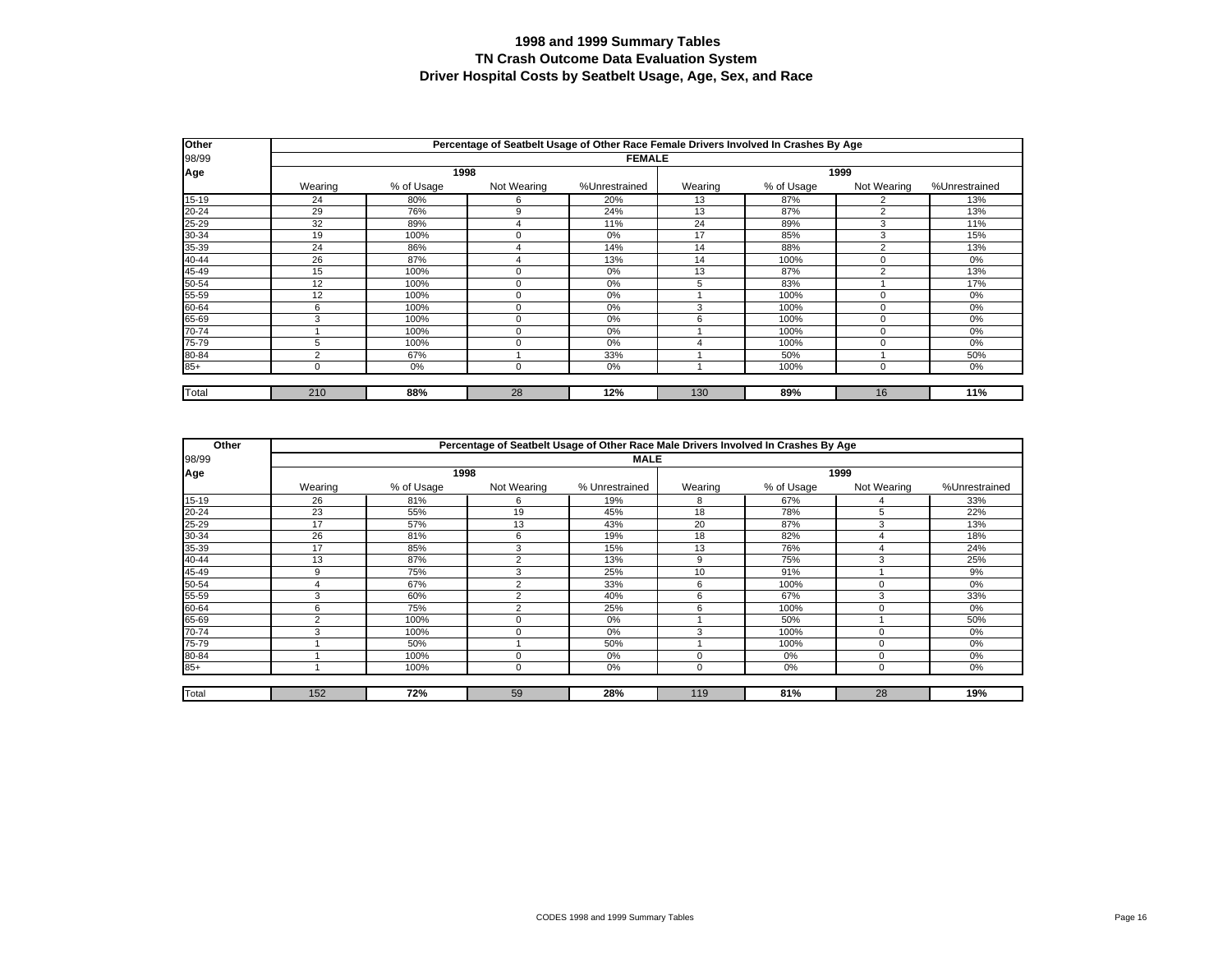| <b>Other</b> |                |            | Percentage of Seatbelt Usage of Other Race Female Drivers Involved In Crashes By Age |               |         |            |                |               |
|--------------|----------------|------------|--------------------------------------------------------------------------------------|---------------|---------|------------|----------------|---------------|
| 98/99        |                |            |                                                                                      | <b>FEMALE</b> |         |            |                |               |
| <b>Age</b>   |                | 1998       |                                                                                      |               |         |            | 1999           |               |
|              | Wearing        | % of Usage | Not Wearing                                                                          | %Unrestrained | Wearing | % of Usage | Not Wearing    | %Unrestrained |
| 15-19        | 24             | 80%        | 6                                                                                    | 20%           | 13      | 87%        | $\overline{2}$ | 13%           |
| 20-24        | 29             | 76%        | 9                                                                                    | 24%           | 13      | 87%        | 2              | 13%           |
| 25-29        | 32             | 89%        |                                                                                      | 11%           | 24      | 89%        | 3              | 11%           |
| 30-34        | 19             | 100%       | $\mathbf 0$                                                                          | 0%            | 17      | 85%        | 3              | 15%           |
| 35-39        | 24             | 86%        |                                                                                      | 14%           | 14      | 88%        | $\overline{2}$ | 13%           |
| 40-44        | 26             | 87%        |                                                                                      | 13%           | 14      | 100%       | 0              | 0%            |
| 45-49        | 15             | 100%       | $\mathbf 0$                                                                          | 0%            | 13      | 87%        | $\overline{2}$ | 13%           |
| 50-54        | 12             | 100%       | 0                                                                                    | 0%            | 5       | 83%        |                | 17%           |
| 55-59        | 12             | 100%       | $\mathbf 0$                                                                          | 0%            |         | 100%       | 0              | 0%            |
| 60-64        | 6              | 100%       | $\Omega$                                                                             | 0%            | 3       | 100%       | 0              | 0%            |
| 65-69        | 3              | 100%       | $\Omega$                                                                             | 0%            | 6       | 100%       | 0              | 0%            |
| 70-74        |                | 100%       | $\mathbf 0$                                                                          | 0%            |         | 100%       | 0              | 0%            |
| 75-79        | 5              | 100%       | $\Omega$                                                                             | 0%            | 4       | 100%       | 0              | 0%            |
| 80-84        | $\overline{2}$ | 67%        |                                                                                      | 33%           |         | 50%        |                | 50%           |
| $85+$        | 0              | 0%         | $\mathbf 0$                                                                          | 0%            |         | 100%       | 0              | 0%            |
|              |                |            |                                                                                      |               |         |            |                |               |
| Total        | 210            | 88%        | 28                                                                                   | 12%           | 130     | 89%        | 16             | 11%           |

| Other |                |            | Percentage of Seatbelt Usage of Other Race Male Drivers Involved In Crashes By Age |                |             |            |             |               |
|-------|----------------|------------|------------------------------------------------------------------------------------|----------------|-------------|------------|-------------|---------------|
| 98/99 |                |            |                                                                                    | <b>MALE</b>    |             |            |             |               |
| Age   |                |            | 1998                                                                               |                |             |            | 1999        |               |
|       | Wearing        | % of Usage | Not Wearing                                                                        | % Unrestrained | Wearing     | % of Usage | Not Wearing | %Unrestrained |
| 15-19 | 26             | 81%        | 6                                                                                  | 19%            | 8           | 67%        | 4           | 33%           |
| 20-24 | 23             | 55%        | 19                                                                                 | 45%            | 18          | 78%        | 5           | 22%           |
| 25-29 | 17             | 57%        | 13                                                                                 | 43%            | 20          | 87%        | 3           | 13%           |
| 30-34 | 26             | 81%        | 6                                                                                  | 19%            | 18          | 82%        | 4           | 18%           |
| 35-39 | 17             | 85%        | 3                                                                                  | 15%            | 13          | 76%        | 4           | 24%           |
| 40-44 | 13             | 87%        | $\overline{2}$                                                                     | 13%            | 9           | 75%        | 3           | 25%           |
| 45-49 | 9              | 75%        | 3                                                                                  | 25%            | 10          | 91%        |             | 9%            |
| 50-54 | 4              | 67%        | $\overline{2}$                                                                     | 33%            | 6           | 100%       | 0           | 0%            |
| 55-59 | 3              | 60%        | $\overline{2}$                                                                     | 40%            | 6           | 67%        | 3           | 33%           |
| 60-64 | 6              | 75%        | $\overline{2}$                                                                     | 25%            | 6           | 100%       | 0           | 0%            |
| 65-69 | $\overline{2}$ | 100%       | 0                                                                                  | 0%             |             | 50%        |             | 50%           |
| 70-74 | 3              | 100%       | 0                                                                                  | 0%             | 3           | 100%       | 0           | 0%            |
| 75-79 |                | 50%        |                                                                                    | 50%            |             | 100%       | 0           | 0%            |
| 80-84 |                | 100%       | $\Omega$                                                                           | 0%             | 0           | 0%         | 0           | 0%            |
| $85+$ |                | 100%       | $\mathbf 0$                                                                        | 0%             | $\mathbf 0$ | 0%         | $\mathbf 0$ | 0%            |
|       |                |            |                                                                                    |                |             |            |             |               |
| Total | 152            | 72%        | 59                                                                                 | 28%            | 119         | 81%        | 28          | 19%           |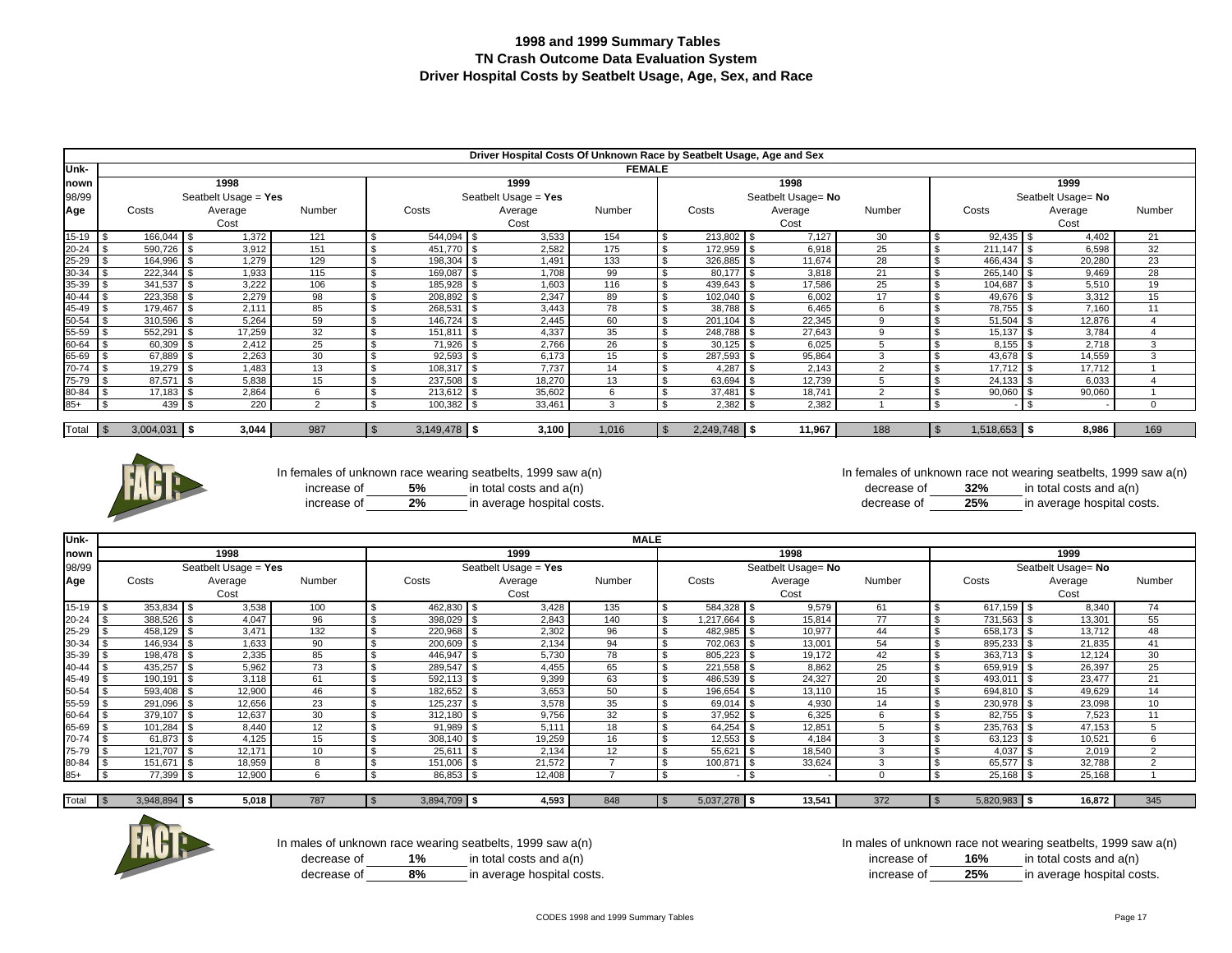|       |      |                |                      |               |     |                | Driver Hospital Costs Of Unknown Race by Seatbelt Usage, Age and Sex |               |             |                    |                |                |                    |          |
|-------|------|----------------|----------------------|---------------|-----|----------------|----------------------------------------------------------------------|---------------|-------------|--------------------|----------------|----------------|--------------------|----------|
| Unk-  |      |                |                      |               |     |                |                                                                      | <b>FEMALE</b> |             |                    |                |                |                    |          |
| nown  |      |                | 1998                 |               |     |                | 1999                                                                 |               |             | 1998               |                |                | 1999               |          |
| 98/99 |      |                | Seatbelt Usage = Yes |               |     |                | Seatbelt Usage = Yes                                                 |               |             | Seatbelt Usage= No |                |                | Seatbelt Usage= No |          |
| Age   |      | Costs          | Average              | Number        |     | Costs          | Average                                                              | Number        | Costs       | Average            | Number         | Costs          | Average            | Number   |
|       |      |                | Cost                 |               |     |                | Cost                                                                 |               |             | Cost               |                |                | Cost               |          |
| 15-19 |      | 166,044 \$     | 1,372                | 121           |     | 544,094 \$     | 3,533                                                                | 154           | 213,802 \$  | 7,127              | 30             | $92,435$ \$    | 4,402              | 21       |
| 20-24 |      | 590,726 \$     | 3,912                | 151           |     | 451,770 \$     | 2,582                                                                | 175           | 172,959 \$  | 6,918              | 25             | 211,147 \$     | 6,598              | 32       |
| 25-29 |      | 164,996        | 1.279                | 129           |     | 198,304 \$     | 1,491                                                                | 133           | 326,885 \$  | 11,674             | 28             | 466,434 \$     | 20,280             | 23       |
| 30-34 |      | 222,344 \$     | 1,933                | 115           |     | 169,087        | 1,708                                                                | 99            | 80,177 \$   | 3,818              | 21             | 265,140 \$     | 9,469              | 28       |
| 35-39 |      | 341,537 \$     | 3,222                | 106           |     | 185,928        | 1,603                                                                | 116           | 439,643 \$  | 17,586             | 25             | 104,687 \$     | 5,510              | 19       |
| 40-44 |      | 223,358        | 2,279                | 98            |     | 208,892        | 2,347                                                                | 89            | 102,040 \$  | 6,002              | 17             | 49,676 \$      | 3,312              | 15       |
| 45-49 |      | 179,467 \$     | 2.111                | 85            |     | 268,531        | 3,443                                                                | 78            | 38,788 \$   | 6,465              | 6              | 78,755 \$      | 7,160              | 11       |
| 50-54 |      | 310,596        | 5.264                | 59            |     | 146,724        | 2,445                                                                | 60            | 201,104 \$  | 22,345             | 9              | 51,504 \$      | 12,876             |          |
| 55-59 |      | 552,291 \$     | 17,259               | 32            |     | 151,811 \$     | 4,337                                                                | 35            | 248,788 \$  | 27,643             | 9              | $15,137$ \$    | 3,784              |          |
| 60-64 |      | 60,309         | 2,412                | 25            |     | 71,926 \$      | 2,766                                                                | 26            | $30,125$ \$ | 6,025              | 5              | $8,155$ \$     | 2,718              | 3        |
| 65-69 |      | 67,889 \$      | 2,263                | 30            |     | $92,593$ \$    | 6,173                                                                | 15            | 287,593 \$  | 95,864             | 3              | 43,678 \$      | 14,559             |          |
| 70-74 |      | 19,279 \$      | 1,483                | 13            |     | 108,317        | 7,737<br><b>1 S</b>                                                  | 14            | $4,287$ \$  | 2,143              | $\overline{2}$ | 17,712 \$      | 17,712             |          |
| 75-79 |      | 87,571 \$      | 5,838                | 15            |     | 237,508        | 18,270                                                               | 13            | 63,694      | 12,739             | 5              | 24,133 \$      | 6,033              |          |
| 80-84 |      | 17,183         | 2,864                |               |     | 213,612 \$     | 35,602                                                               | 6             | 37,481 \$   | 18,741             | $\overline{2}$ | 90,060 \$      | 90,060             |          |
| $85+$ |      | 439 \$         | 220                  | $\mathcal{D}$ | -\$ | 100,382 \$     | 33,461                                                               | 3             | $2,382$ \$  | 2,382              |                |                |                    | $\Omega$ |
|       |      |                |                      |               |     |                |                                                                      |               |             |                    |                |                |                    |          |
| Total | । \$ | $3,004,031$ \$ | 3,044                | 987           |     | $3,149,478$ \$ | 3,100                                                                | 1,016         | 2,249,748   | 11,967<br>- \$     | 188            | $1,518,653$ \$ | 8,986              | 169      |



increase of **5%**increase of**2%**

In females of unknown race wearing seatbelts, 1999 saw a(n) In females of unknown race not wearing seatbelts, 1999 saw a(n)<br>increase of 5% in total costs and a(n) increase of 32% in total costs and a(n) in total costs and a(n) **in total costs and a(n)** decrease of **32%** in total costs and a(n) in average hospital costs. decrease of **25%** in average hospital costs.

| Unk-      |                |                |                      |        |                |                      | <b>MALE</b> |          |                |                    |          |          |              |                    |        |
|-----------|----------------|----------------|----------------------|--------|----------------|----------------------|-------------|----------|----------------|--------------------|----------|----------|--------------|--------------------|--------|
| nown      |                |                | 1998                 |        |                | 1999                 |             |          |                | 1998               |          |          |              | 1999               |        |
| 98/99     |                |                | Seatbelt Usage = Yes |        |                | Seatbelt Usage = Yes |             |          |                | Seatbelt Usage= No |          |          |              | Seatbelt Usage= No |        |
| Age       |                | Costs          | Average              | Number | Costs          | Average              | Number      |          | Costs          | Average            | Number   |          | Costs        | Average            | Number |
|           |                |                | Cost                 |        |                | Cost                 |             |          |                | Cost               |          |          |              | Cost               |        |
| $15 - 19$ |                | 353,834 \$     | 3,538                | 100    | 462,830        | 3,428                | 135         |          | 584,328 \$     | 9,579              | 61       |          | 617,159      | 8,340              | 74     |
| 20-24     |                | 388,526 \$     | 4,047                | 96     | 398,029        | 2,843                | 140         |          | 1,217,664 \$   | 15,814             | 77       |          | 731,563      | 13,301             | 55     |
| 25-29     |                | 458,129        | 3,471                | 132    | 220,968        | 2,302                | 96          |          | 482,985 \$     | 10,977             | 44       |          | 658,173      | 13,712             | 48     |
| 30-34     |                | 146,934 \$     | 1.633                | 90     | 200,609        | 2,134                | 94          |          | 702,063 \$     | 13,001             | 54       |          | 895,233      | 21,835             | 41     |
| 35-39     |                | 198,478 \$     | 2,335                | 85     | 446,947        | 5,730                | 78          |          | 805,223 \$     | 19,172             | 42       |          | 363,713      | 12,124             | 30     |
| 40-44     |                | 435,257 \$     | 5,962                | 73     | 289,547        | 4,455                | 65          |          | 221,558 \$     | 8,862              | 25       |          | 659,919      | 26,397             | 25     |
| 45-49     |                | 190,191        | 3,118                | 61     | 592,113        | 9,399                | 63          |          | 486,539 \$     | 24,327             | 20       |          | 493,011      | 23,477             | 21     |
| 50-54     |                | 593,408 \$     | 12,900               | 46     | 182,652        | 3,653                | 50          |          | 196,654 \$     | 13,110             | 15       |          | 694,810      | 49,629             | 14     |
| 55-59     |                | 291,096 \$     | 12,656               | 23     | 125,237        | 3,578                | 35          |          | 69,014 \$      | 4,930              | 14       |          | 230,978      | 23,098             | 10     |
| 60-64     |                | 379,107 \$     | 12,637               | 30     | 312,180        | 9,756                | 32          |          | 37,952 \$      | 6,325              | 6        |          | 82,755       | 7,523              | 11     |
| 65-69     |                | 101,284 \$     | 8,440                | 12     | 91,989         | 5.111                | 18          |          | 64,254 \$      | 12,851             | 5        |          | 235,763      | 47,153             |        |
| 70-74     |                | 61,873 \$      | 4,125                | 15     | 308,140        | 19,259               | 16          |          | 12,553         | 4,184              | 3        |          | 63,123       | 10,521             | 6      |
| 75-79     |                | 121,707 \$     | 12,171               | 10     | 25,611         | 2,134<br>l S         | 12          |          | 55,621         | 18,540             | 3        |          | 4,037        | 2,019              | 2      |
| 80-84     |                | 151,671 \$     | 18,959               | 8      | 151,006        | 21,572               |             |          | 100,871        | 33,624             | 3        |          | 65,577       | 32,788             | 2      |
| $85+$     |                | 77,399 \$      | 12,900               | 6      | 86,853 \$      | 12,408               |             |          |                |                    | $\Omega$ |          | 25,168       | 25,168             |        |
|           |                |                |                      |        |                |                      |             |          |                |                    |          |          |              |                    |        |
| Total     | $\blacksquare$ | $3,948,894$ \$ | 5,018                | 787    | $3,894,709$ \$ | 4,593                | 848         | <b>S</b> | $5,037,278$ \$ | 13,541             | 372      | <b>S</b> | 5,820,983 \$ | 16,872             | 345    |



decrease of **1%**decrease of**8%**

In males of unknown race wearing seatbelts, 1999 saw a(n) In males of unknown race not wearing seatbelts, 1999 saw a(n)

in total costs and a(n) increase of **16%** in total costs and a(n) in average hospital costs. increase of **25%** in average hospital costs.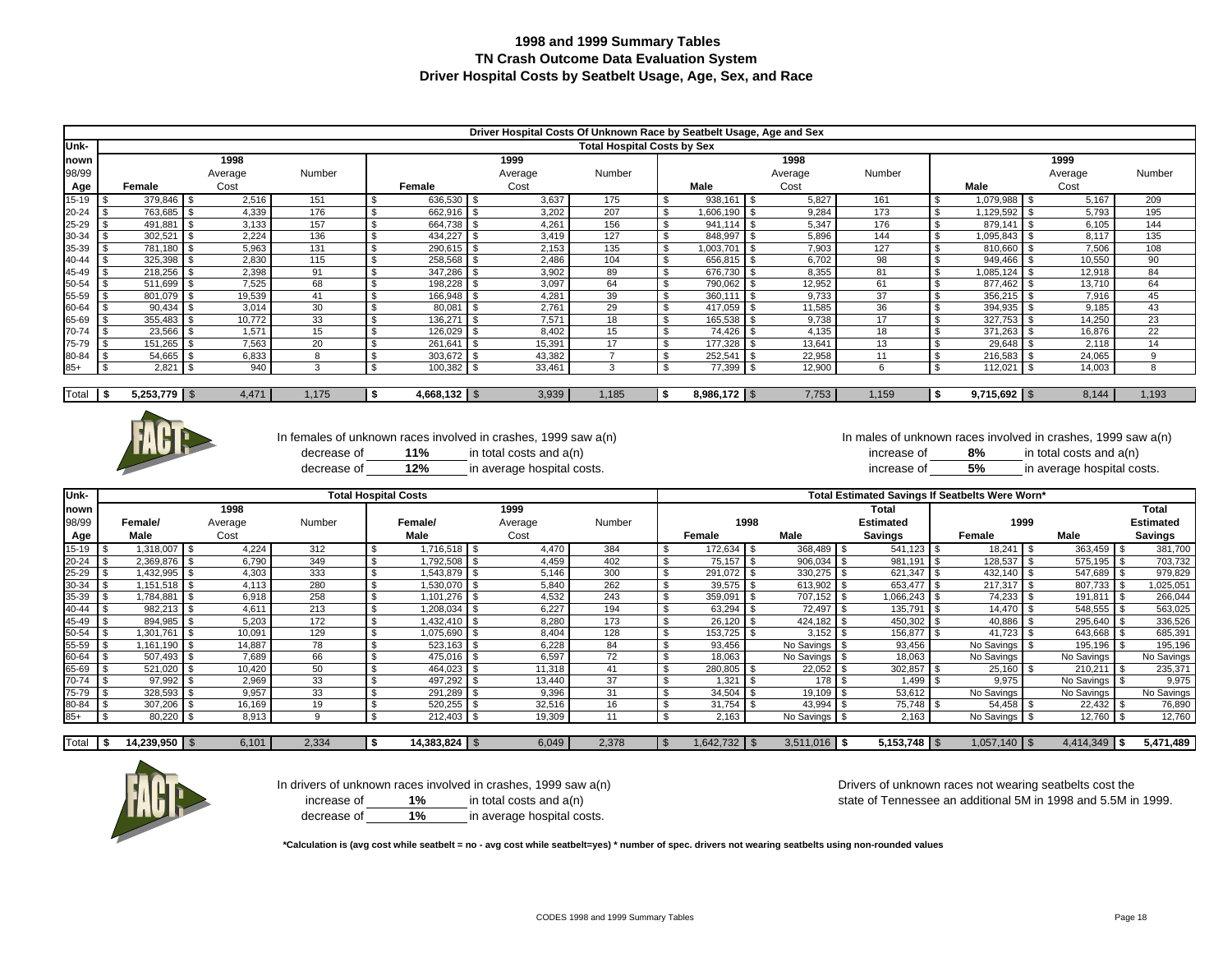|         | Driver Hospital Costs Of Unknown Race by Seatbelt Usage, Age and Sex |                                    |                       |        |      |                |      |        |               |      |                   |  |        |       |         |                |        |      |
|---------|----------------------------------------------------------------------|------------------------------------|-----------------------|--------|------|----------------|------|--------|---------------|------|-------------------|--|--------|-------|---------|----------------|--------|------|
| Unk-    |                                                                      | <b>Total Hospital Costs by Sex</b> |                       |        |      |                |      |        |               |      |                   |  |        |       |         |                |        |      |
| nown    | 1998                                                                 |                                    |                       |        |      | 1999           |      |        |               | 1998 |                   |  |        |       |         | 1999           |        |      |
| 98/99   |                                                                      |                                    | Average               | Number |      | Average        |      | Number |               |      | Number<br>Average |  |        |       | Average |                |        |      |
| Age     |                                                                      | Female                             | Cost                  |        |      | Female         | Cost |        |               |      | Male              |  | Cost   |       |         | Male           | Cost   |      |
| $15-19$ |                                                                      | 379,846 \$                         | 2,516                 | 151    |      | 636,530 \$     |      | 3,637  | 175           |      | 938,161 \$        |  | 5,827  | 161   |         | 079,988        | 5,167  | 209  |
| 20-24   |                                                                      | 763,685                            | 4,339                 | 176    |      | 662,916        |      | 3,202  | 207           |      | 1,606,190 \$      |  | 9,284  | 173   |         | ,129,592       | 5,793  | 195  |
| 25-29   |                                                                      | 491,881                            | 3.133                 | 157    |      | 664,738        |      | 4,261  | 156           |      | $941,114$ \$      |  | 5,347  | 176   |         | 879,141        | 6,105  | 144  |
| 30-34   |                                                                      | 302,521                            | 2.224                 | 136    |      | 434,227        |      | 3,419  | 127           |      | 848,997 \$        |  | 5,896  | 144   |         | 095,843        | 8.117  | 135  |
| 35-39   |                                                                      | 781,180 \$                         | 5,963                 | 131    |      | 290,615 \$     |      | 2,153  | 135           |      | 1,003,701 \$      |  | 7,903  | 127   |         | 810,660        | 7,506  | 108  |
| 40-44   |                                                                      | 325,398 \$                         | 2,830                 | 115    |      | 258,568        |      | 2,486  | 104           |      | 656,815 \$        |  | 6,702  | 98    |         | 949,466        | 10,550 | 90   |
| 45-49   |                                                                      | 218,256 \$                         | 2,398                 | 91     |      | 347,286        |      | 3,902  | 89            |      | 676,730 \$        |  | 8,355  | 81    |         | ,085,124       | 12,918 | 84   |
| 50-54   |                                                                      | 511,699 \$                         | 7,525                 | 68     |      | 198,228        |      | 3,097  | 64            |      | 790,062 \$        |  | 12,952 | 61    |         | 877,462        | 13,710 | 64   |
| 55-59   |                                                                      | 801,079 \$                         | 19,539                | 41     |      | 166,948        |      | 4,281  | 39            |      | 360,111 \$        |  | 9,733  | 37    |         | 356,215        | 7,916  | 45   |
| 60-64   |                                                                      | $90,434$ \$                        | 3,014                 | 30     |      | 80,081         | - SS | 2,761  | 29            |      | 417,059 \$        |  | 11,585 | 36    |         | 394,935 \$     | 9,185  | 43   |
| 65-69   |                                                                      | 355,483 \$                         | 10,772                | 33     |      | 136,271        |      | 7.571  | 18            |      | 165,538 \$        |  | 9,738  | 17    |         | 327,753        | 14,250 | 23   |
| 70-74   |                                                                      | 23,566 \$                          | 1.571                 | 15     |      | 126,029        |      | 8,402  | 15            |      | 74,426 \$         |  | 4,135  | 18    |         | 371,263        | 16,876 | 22   |
| 75-79   |                                                                      | 151,265 \$                         | 7.563                 | 20     |      | 261,641        |      | 15,391 | 17            |      | 177,328 \$        |  | 13,641 | 13    |         | 29,648         | 2,118  | 14   |
| 80-84   |                                                                      | 54,665 \$                          | 6,833                 | 8      |      | 303,672        |      | 43,382 | $\rightarrow$ |      | 252,541 \$        |  | 22,958 | 11    |         | 216,583        | 24,065 | 9    |
| $85+$   |                                                                      | 2,821                              | 940<br>$\blacksquare$ | 3      |      | 100,382        |      | 33,461 | 3             |      | 77,399 \$         |  | 12,900 |       |         | 112,021        | 14,003 | 8    |
|         |                                                                      |                                    |                       |        |      |                |      |        |               |      |                   |  |        |       |         |                |        |      |
| Total   | l 5                                                                  | $5,253,779$ \$                     | 4,471                 | 1,175  | l \$ | $4,668,132$ \$ |      | 3,939  | 1,185         | - 5  | $8,986,172$ \$    |  | 7,753  | 1,159 | -S      | $9,715,692$ \$ | 8,144  | .193 |



In females of unknown races involved in crashes, 1999 saw a(n) In males of unknown races involved in crashes, 1999 saw a(n) decrease of **11%**decrease of**12%**

in total costs and a(n) increase of **8%** in total costs and a(n) in average hospital costs. **increase of the set of the set of the set of the set of the set of the set of the set of the set of the set of the set of the set of the set of the set of the set of the set of the set of the se** 

| Unk-  | <b>Total Hospital Costs</b>  |        |         |           |                        |              |      |              | Total Estimated Savings If Seatbelts Were Worn* |               |              |               |                  |                |  |  |  |
|-------|------------------------------|--------|---------|-----------|------------------------|--------------|------|--------------|-------------------------------------------------|---------------|--------------|---------------|------------------|----------------|--|--|--|
| nown  |                              | 1999   |         |           |                        |              |      | Total        |                                                 |               | <b>Total</b> |               |                  |                |  |  |  |
| 98/99 | Number<br>Female/<br>Average |        | Female/ | Average   | Number                 |              | 1998 |              | <b>Estimated</b>                                |               | 1999         |               | <b>Estimated</b> |                |  |  |  |
| Age   | Male                         | Cost   |         | Male      | Cost                   |              |      | Female       |                                                 | Male          | Savings      | Female        | Male             | <b>Savings</b> |  |  |  |
| 15-19 | 1,318,007 \$                 | 4.224  | 312     |           | 1,716,518 \$           | 384<br>4.470 |      | 172,634 \$   |                                                 | 368,489 \$    | $541,123$ \$ | 18.241        | 363,459 \$       | 381,700        |  |  |  |
| 20-24 | 2,369,876 \$                 | 6,790  | 349     |           | 1,792,508 \$           | 402<br>4,459 |      | 75,157 \$    |                                                 | 906,034 \$    | 981,191 \$   | 128,537       | 575,195 \$       | 703,732        |  |  |  |
| 25-29 | 1,432,995 \$                 | 4,303  | 333     | 1,543,879 |                        | 300<br>5,146 |      | 291,072 \$   |                                                 | 330,275 \$    | 621,347 \$   | 432,140       | 547,689 \$       | 979,829        |  |  |  |
| 30-34 | $1,151,518$ \$               | 4,113  | 280     |           | 1,530,070 \$           | 262<br>5,840 |      | $39,575$ \$  |                                                 | 613,902 \$    | 653,477      | 217,317       | 807,733 \$       | 1,025,051      |  |  |  |
| 35-39 | 1,784,881                    | 6,918  | 258     |           | 1,101,276 \$<br>4,532  | 243          |      | 359,091 \$   |                                                 | 707,152 \$    | 1,066,243    | 74,233 \$     | 191,811 \$       | 266,044        |  |  |  |
| 40-44 | 982.213 \$                   | 4.611  | 213     | 1.208.034 | 6.227                  | 194          |      | 63.294 \$    |                                                 | 72.497 \$     | 135.791 \$   | 14.470 \$     | 548,555 \$       | 563,025        |  |  |  |
| 45-49 | 894,985 \$                   | 5,203  | 172     |           | 1,432,410 \$<br>8,280  | 173          |      | $26,120$ \$  |                                                 | 424,182 \$    | 450,302 \$   | 40,886 \$     | 295,640 \$       | 336,526        |  |  |  |
| 50-54 | 1,301,761 \$                 | 10,091 | 129     | 1,075,690 |                        | 128<br>8,404 |      | 153,725 \$   |                                                 | $3,152$   \$  | 156,877 \$   | 41,723 \$     | 643,668 \$       | 685,391        |  |  |  |
| 55-59 | 1,161,190 \$                 | 14,887 | 78      |           | 523,163 \$<br>6,228    | 84           |      | 93,456       |                                                 | No Savings \$ | 93,456       | No Savings \$ | 195,196 \$       | 195,196        |  |  |  |
| 60-64 | 507,493 \$                   | 7,689  | 66      |           | 6,597<br>475,016 \$    | 72           |      | 18,063       |                                                 | No Savings S  | 18,063       | No Savings    | No Savings       | No Savings     |  |  |  |
| 65-69 | 521,020 \$                   | 10,420 | 50      |           | 464,023<br>11,318      | 41           |      | 280,805 \$   |                                                 | $22,052$ \$   | 302,857      | 25,160 \$     | $210,211$ \$     | 235,371        |  |  |  |
| 70-74 | 97,992 \$                    | 2,969  | 33      | 497,292   | 13,440                 | 37           |      | $1,321$   \$ |                                                 | 178 \$        | 1,499        | 9.975         | No Savings \$    | 9,975          |  |  |  |
| 75-79 | 328,593 \$                   | 9,957  | 33      | 291,289   | 9,396                  | 31           |      | 34,504 \$    |                                                 | $19,109$ \$   | 53,612       | No Savings    | No Savings       | No Savings     |  |  |  |
| 80-84 | 307,206 \$                   | 16,169 | 19      |           | 520,255 \$<br>32,516   | 16           |      | $31,754$ \$  |                                                 | 43,994 \$     | 75,748 \$    | 54,458 \$     | $22,432$ \$      | 76,890         |  |  |  |
| $85+$ | 80,220 \$                    | 8,913  |         |           | $212,403$ \$<br>19,309 | 11           |      | 2,163        |                                                 | No Savings \$ | 2,163        | No Savings \$ | $12,760$ \$      | 12,760         |  |  |  |
|       |                              |        |         |           |                        |              |      |              |                                                 |               |              |               |                  |                |  |  |  |

**Total \$ 14,239,950** \$ 2,334 6,101 **\$ 14,383,824** \$ 2,378 1,642,732 6,049 \$ 3,511,016 \$ **\$ 5,153,748** \$ 4,414,349 1,057,140 \$ **\$ 5,471,489**

increase of **1%**decrease of **1%**in average hospital costs.

In drivers of unknown races involved in crashes, 1999 saw a(n) Drivers of unknown races not wearing seatbelts cost the in total costs and a(n) state of Tennessee an additional 5M in 1998 and 5.5M in 1999.

**\*Calculation is (avg cost while seatbelt = no - avg cost while seatbelt=yes) \* number of spec. drivers not wearing seatbelts using non-rounded values**